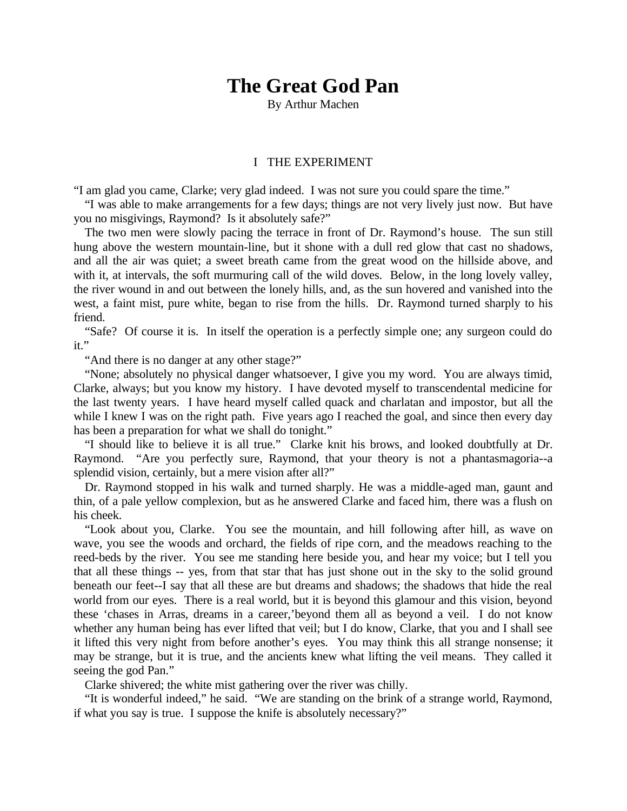# **The Great God Pan**

By Arthur Machen

#### I THE EXPERIMENT

"I am glad you came, Clarke; very glad indeed. I was not sure you could spare the time."

"I was able to make arrangements for a few days; things are not very lively just now. But have you no misgivings, Raymond? Is it absolutely safe?"

The two men were slowly pacing the terrace in front of Dr. Raymond's house. The sun still hung above the western mountain-line, but it shone with a dull red glow that cast no shadows, and all the air was quiet; a sweet breath came from the great wood on the hillside above, and with it, at intervals, the soft murmuring call of the wild doves. Below, in the long lovely valley, the river wound in and out between the lonely hills, and, as the sun hovered and vanished into the west, a faint mist, pure white, began to rise from the hills. Dr. Raymond turned sharply to his friend.

"Safe? Of course it is. In itself the operation is a perfectly simple one; any surgeon could do  $it$ ."

"And there is no danger at any other stage?"

"None; absolutely no physical danger whatsoever, I give you my word. You are always timid, Clarke, always; but you know my history. I have devoted myself to transcendental medicine for the last twenty years. I have heard myself called quack and charlatan and impostor, but all the while I knew I was on the right path. Five years ago I reached the goal, and since then every day has been a preparation for what we shall do tonight."

"I should like to believe it is all true." Clarke knit his brows, and looked doubtfully at Dr. Raymond. "Are you perfectly sure, Raymond, that your theory is not a phantasmagoria--a splendid vision, certainly, but a mere vision after all?"

Dr. Raymond stopped in his walk and turned sharply. He was a middle-aged man, gaunt and thin, of a pale yellow complexion, but as he answered Clarke and faced him, there was a flush on his cheek.

"Look about you, Clarke. You see the mountain, and hill following after hill, as wave on wave, you see the woods and orchard, the fields of ripe corn, and the meadows reaching to the reed-beds by the river. You see me standing here beside you, and hear my voice; but I tell you that all these things -- yes, from that star that has just shone out in the sky to the solid ground beneath our feet--I say that all these are but dreams and shadows; the shadows that hide the real world from our eyes. There is a real world, but it is beyond this glamour and this vision, beyond these 'chases in Arras, dreams in a career,'beyond them all as beyond a veil. I do not know whether any human being has ever lifted that veil; but I do know, Clarke, that you and I shall see it lifted this very night from before another's eyes. You may think this all strange nonsense; it may be strange, but it is true, and the ancients knew what lifting the veil means. They called it seeing the god Pan."

Clarke shivered; the white mist gathering over the river was chilly.

"It is wonderful indeed," he said. "We are standing on the brink of a strange world, Raymond, if what you say is true. I suppose the knife is absolutely necessary?"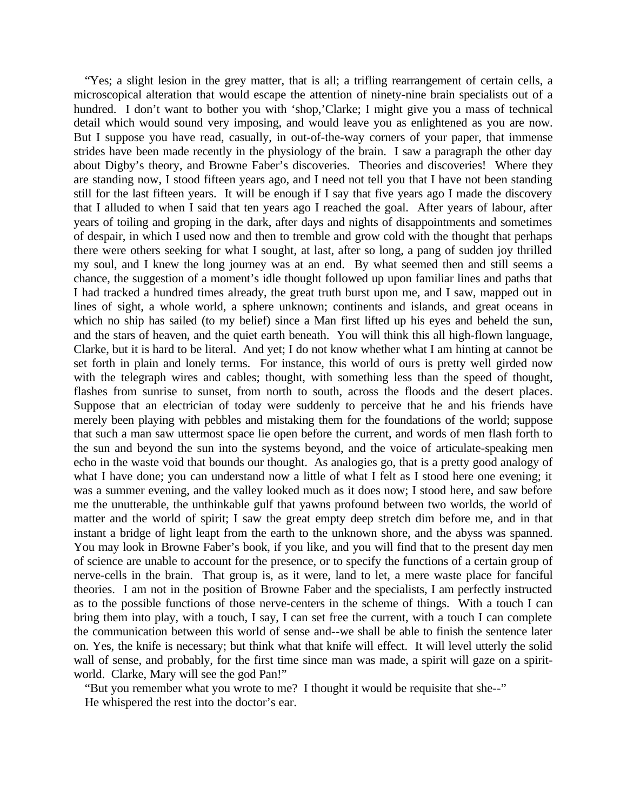"Yes; a slight lesion in the grey matter, that is all; a trifling rearrangement of certain cells, a microscopical alteration that would escape the attention of ninety-nine brain specialists out of a hundred. I don't want to bother you with 'shop,'Clarke; I might give you a mass of technical detail which would sound very imposing, and would leave you as enlightened as you are now. But I suppose you have read, casually, in out-of-the-way corners of your paper, that immense strides have been made recently in the physiology of the brain. I saw a paragraph the other day about Digby's theory, and Browne Faber's discoveries. Theories and discoveries! Where they are standing now, I stood fifteen years ago, and I need not tell you that I have not been standing still for the last fifteen years. It will be enough if I say that five years ago I made the discovery that I alluded to when I said that ten years ago I reached the goal. After years of labour, after years of toiling and groping in the dark, after days and nights of disappointments and sometimes of despair, in which I used now and then to tremble and grow cold with the thought that perhaps there were others seeking for what I sought, at last, after so long, a pang of sudden joy thrilled my soul, and I knew the long journey was at an end. By what seemed then and still seems a chance, the suggestion of a moment's idle thought followed up upon familiar lines and paths that I had tracked a hundred times already, the great truth burst upon me, and I saw, mapped out in lines of sight, a whole world, a sphere unknown; continents and islands, and great oceans in which no ship has sailed (to my belief) since a Man first lifted up his eyes and beheld the sun, and the stars of heaven, and the quiet earth beneath. You will think this all high-flown language, Clarke, but it is hard to be literal. And yet; I do not know whether what I am hinting at cannot be set forth in plain and lonely terms. For instance, this world of ours is pretty well girded now with the telegraph wires and cables; thought, with something less than the speed of thought, flashes from sunrise to sunset, from north to south, across the floods and the desert places. Suppose that an electrician of today were suddenly to perceive that he and his friends have merely been playing with pebbles and mistaking them for the foundations of the world; suppose that such a man saw uttermost space lie open before the current, and words of men flash forth to the sun and beyond the sun into the systems beyond, and the voice of articulate-speaking men echo in the waste void that bounds our thought. As analogies go, that is a pretty good analogy of what I have done; you can understand now a little of what I felt as I stood here one evening; it was a summer evening, and the valley looked much as it does now; I stood here, and saw before me the unutterable, the unthinkable gulf that yawns profound between two worlds, the world of matter and the world of spirit; I saw the great empty deep stretch dim before me, and in that instant a bridge of light leapt from the earth to the unknown shore, and the abyss was spanned. You may look in Browne Faber's book, if you like, and you will find that to the present day men of science are unable to account for the presence, or to specify the functions of a certain group of nerve-cells in the brain. That group is, as it were, land to let, a mere waste place for fanciful theories. I am not in the position of Browne Faber and the specialists, I am perfectly instructed as to the possible functions of those nerve-centers in the scheme of things. With a touch I can bring them into play, with a touch, I say, I can set free the current, with a touch I can complete the communication between this world of sense and--we shall be able to finish the sentence later on. Yes, the knife is necessary; but think what that knife will effect. It will level utterly the solid wall of sense, and probably, for the first time since man was made, a spirit will gaze on a spiritworld. Clarke, Mary will see the god Pan!"

"But you remember what you wrote to me? I thought it would be requisite that she--" He whispered the rest into the doctor's ear.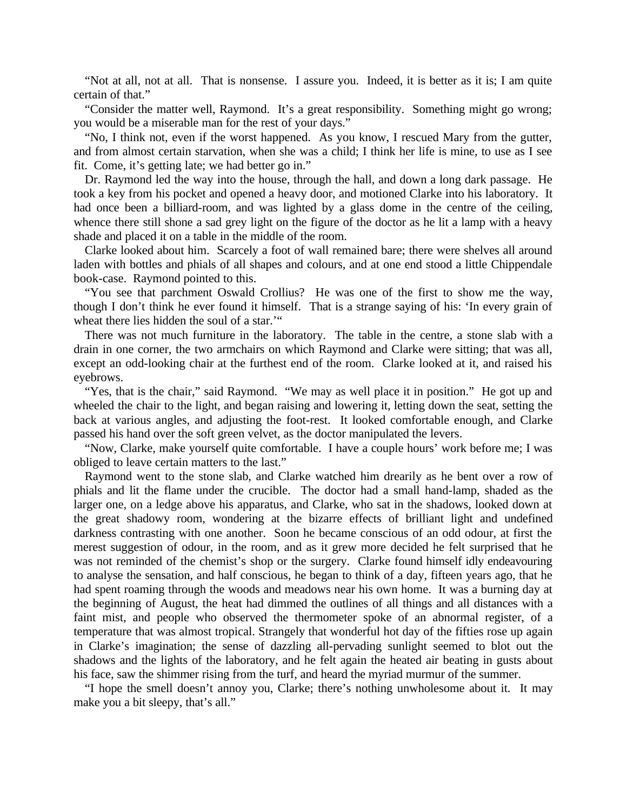"Not at all, not at all. That is nonsense. I assure you. Indeed, it is better as it is; I am quite certain of that."

"Consider the matter well, Raymond. It's a great responsibility. Something might go wrong; you would be a miserable man for the rest of your days."

"No, I think not, even if the worst happened. As you know, I rescued Mary from the gutter, and from almost certain starvation, when she was a child; I think her life is mine, to use as I see fit. Come, it's getting late; we had better go in."

Dr. Raymond led the way into the house, through the hall, and down a long dark passage. He took a key from his pocket and opened a heavy door, and motioned Clarke into his laboratory. It had once been a billiard-room, and was lighted by a glass dome in the centre of the ceiling, whence there still shone a sad grey light on the figure of the doctor as he lit a lamp with a heavy shade and placed it on a table in the middle of the room.

Clarke looked about him. Scarcely a foot of wall remained bare; there were shelves all around laden with bottles and phials of all shapes and colours, and at one end stood a little Chippendale book-case. Raymond pointed to this.

"You see that parchment Oswald Crollius? He was one of the first to show me the way, though I don't think he ever found it himself. That is a strange saying of his: 'In every grain of wheat there lies hidden the soul of a star.'"

There was not much furniture in the laboratory. The table in the centre, a stone slab with a drain in one corner, the two armchairs on which Raymond and Clarke were sitting; that was all, except an odd-looking chair at the furthest end of the room. Clarke looked at it, and raised his eyebrows.

"Yes, that is the chair," said Raymond. "We may as well place it in position." He got up and wheeled the chair to the light, and began raising and lowering it, letting down the seat, setting the back at various angles, and adjusting the foot-rest. It looked comfortable enough, and Clarke passed his hand over the soft green velvet, as the doctor manipulated the levers.

"Now, Clarke, make yourself quite comfortable. I have a couple hours' work before me; I was obliged to leave certain matters to the last."

Raymond went to the stone slab, and Clarke watched him drearily as he bent over a row of phials and lit the flame under the crucible. The doctor had a small hand-lamp, shaded as the larger one, on a ledge above his apparatus, and Clarke, who sat in the shadows, looked down at the great shadowy room, wondering at the bizarre effects of brilliant light and undefined darkness contrasting with one another. Soon he became conscious of an odd odour, at first the merest suggestion of odour, in the room, and as it grew more decided he felt surprised that he was not reminded of the chemist's shop or the surgery. Clarke found himself idly endeavouring to analyse the sensation, and half conscious, he began to think of a day, fifteen years ago, that he had spent roaming through the woods and meadows near his own home. It was a burning day at the beginning of August, the heat had dimmed the outlines of all things and all distances with a faint mist, and people who observed the thermometer spoke of an abnormal register, of a temperature that was almost tropical. Strangely that wonderful hot day of the fifties rose up again in Clarke's imagination; the sense of dazzling all-pervading sunlight seemed to blot out the shadows and the lights of the laboratory, and he felt again the heated air beating in gusts about his face, saw the shimmer rising from the turf, and heard the myriad murmur of the summer.

"I hope the smell doesn't annoy you, Clarke; there's nothing unwholesome about it. It may make you a bit sleepy, that's all."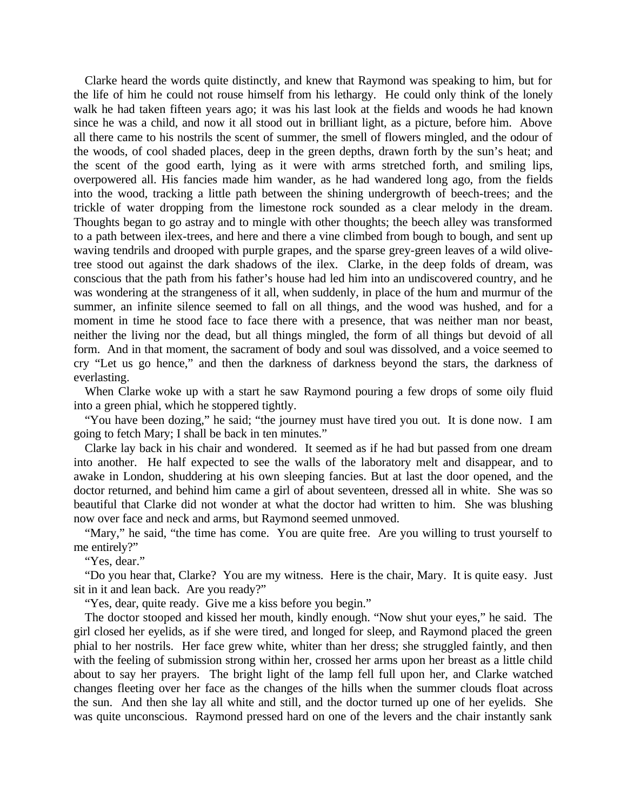Clarke heard the words quite distinctly, and knew that Raymond was speaking to him, but for the life of him he could not rouse himself from his lethargy. He could only think of the lonely walk he had taken fifteen years ago; it was his last look at the fields and woods he had known since he was a child, and now it all stood out in brilliant light, as a picture, before him. Above all there came to his nostrils the scent of summer, the smell of flowers mingled, and the odour of the woods, of cool shaded places, deep in the green depths, drawn forth by the sun's heat; and the scent of the good earth, lying as it were with arms stretched forth, and smiling lips, overpowered all. His fancies made him wander, as he had wandered long ago, from the fields into the wood, tracking a little path between the shining undergrowth of beech-trees; and the trickle of water dropping from the limestone rock sounded as a clear melody in the dream. Thoughts began to go astray and to mingle with other thoughts; the beech alley was transformed to a path between ilex-trees, and here and there a vine climbed from bough to bough, and sent up waving tendrils and drooped with purple grapes, and the sparse grey-green leaves of a wild olivetree stood out against the dark shadows of the ilex. Clarke, in the deep folds of dream, was conscious that the path from his father's house had led him into an undiscovered country, and he was wondering at the strangeness of it all, when suddenly, in place of the hum and murmur of the summer, an infinite silence seemed to fall on all things, and the wood was hushed, and for a moment in time he stood face to face there with a presence, that was neither man nor beast, neither the living nor the dead, but all things mingled, the form of all things but devoid of all form. And in that moment, the sacrament of body and soul was dissolved, and a voice seemed to cry "Let us go hence," and then the darkness of darkness beyond the stars, the darkness of everlasting.

When Clarke woke up with a start he saw Raymond pouring a few drops of some oily fluid into a green phial, which he stoppered tightly.

"You have been dozing," he said; "the journey must have tired you out. It is done now. I am going to fetch Mary; I shall be back in ten minutes."

Clarke lay back in his chair and wondered. It seemed as if he had but passed from one dream into another. He half expected to see the walls of the laboratory melt and disappear, and to awake in London, shuddering at his own sleeping fancies. But at last the door opened, and the doctor returned, and behind him came a girl of about seventeen, dressed all in white. She was so beautiful that Clarke did not wonder at what the doctor had written to him. She was blushing now over face and neck and arms, but Raymond seemed unmoved.

"Mary," he said, "the time has come. You are quite free. Are you willing to trust yourself to me entirely?"

"Yes, dear."

"Do you hear that, Clarke? You are my witness. Here is the chair, Mary. It is quite easy. Just sit in it and lean back. Are you ready?"

"Yes, dear, quite ready. Give me a kiss before you begin."

The doctor stooped and kissed her mouth, kindly enough. "Now shut your eyes," he said. The girl closed her eyelids, as if she were tired, and longed for sleep, and Raymond placed the green phial to her nostrils. Her face grew white, whiter than her dress; she struggled faintly, and then with the feeling of submission strong within her, crossed her arms upon her breast as a little child about to say her prayers. The bright light of the lamp fell full upon her, and Clarke watched changes fleeting over her face as the changes of the hills when the summer clouds float across the sun. And then she lay all white and still, and the doctor turned up one of her eyelids. She was quite unconscious. Raymond pressed hard on one of the levers and the chair instantly sank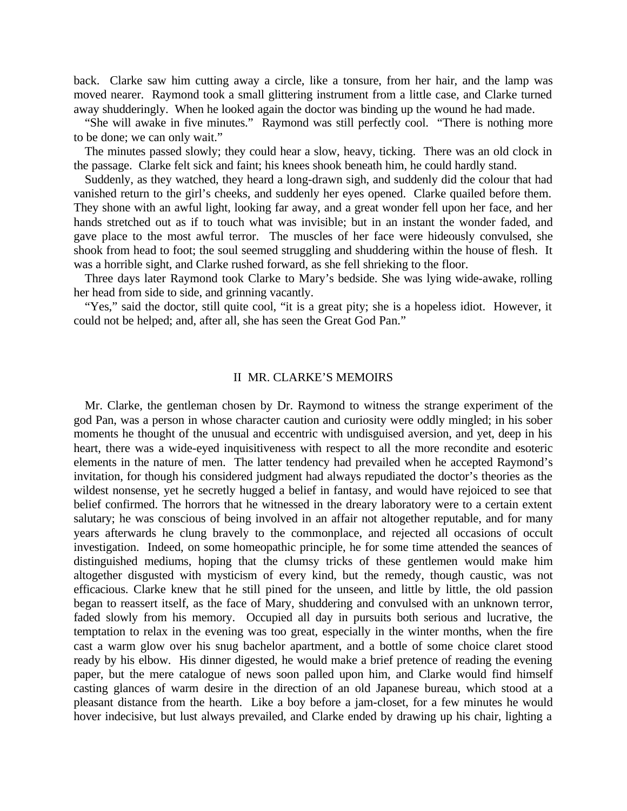back. Clarke saw him cutting away a circle, like a tonsure, from her hair, and the lamp was moved nearer. Raymond took a small glittering instrument from a little case, and Clarke turned away shudderingly. When he looked again the doctor was binding up the wound he had made.

"She will awake in five minutes." Raymond was still perfectly cool. "There is nothing more to be done; we can only wait."

The minutes passed slowly; they could hear a slow, heavy, ticking. There was an old clock in the passage. Clarke felt sick and faint; his knees shook beneath him, he could hardly stand.

Suddenly, as they watched, they heard a long-drawn sigh, and suddenly did the colour that had vanished return to the girl's cheeks, and suddenly her eyes opened. Clarke quailed before them. They shone with an awful light, looking far away, and a great wonder fell upon her face, and her hands stretched out as if to touch what was invisible; but in an instant the wonder faded, and gave place to the most awful terror. The muscles of her face were hideously convulsed, she shook from head to foot; the soul seemed struggling and shuddering within the house of flesh. It was a horrible sight, and Clarke rushed forward, as she fell shrieking to the floor.

Three days later Raymond took Clarke to Mary's bedside. She was lying wide-awake, rolling her head from side to side, and grinning vacantly.

"Yes," said the doctor, still quite cool, "it is a great pity; she is a hopeless idiot. However, it could not be helped; and, after all, she has seen the Great God Pan."

## II MR. CLARKE'S MEMOIRS

Mr. Clarke, the gentleman chosen by Dr. Raymond to witness the strange experiment of the god Pan, was a person in whose character caution and curiosity were oddly mingled; in his sober moments he thought of the unusual and eccentric with undisguised aversion, and yet, deep in his heart, there was a wide-eyed inquisitiveness with respect to all the more recondite and esoteric elements in the nature of men. The latter tendency had prevailed when he accepted Raymond's invitation, for though his considered judgment had always repudiated the doctor's theories as the wildest nonsense, yet he secretly hugged a belief in fantasy, and would have rejoiced to see that belief confirmed. The horrors that he witnessed in the dreary laboratory were to a certain extent salutary; he was conscious of being involved in an affair not altogether reputable, and for many years afterwards he clung bravely to the commonplace, and rejected all occasions of occult investigation. Indeed, on some homeopathic principle, he for some time attended the seances of distinguished mediums, hoping that the clumsy tricks of these gentlemen would make him altogether disgusted with mysticism of every kind, but the remedy, though caustic, was not efficacious. Clarke knew that he still pined for the unseen, and little by little, the old passion began to reassert itself, as the face of Mary, shuddering and convulsed with an unknown terror, faded slowly from his memory. Occupied all day in pursuits both serious and lucrative, the temptation to relax in the evening was too great, especially in the winter months, when the fire cast a warm glow over his snug bachelor apartment, and a bottle of some choice claret stood ready by his elbow. His dinner digested, he would make a brief pretence of reading the evening paper, but the mere catalogue of news soon palled upon him, and Clarke would find himself casting glances of warm desire in the direction of an old Japanese bureau, which stood at a pleasant distance from the hearth. Like a boy before a jam-closet, for a few minutes he would hover indecisive, but lust always prevailed, and Clarke ended by drawing up his chair, lighting a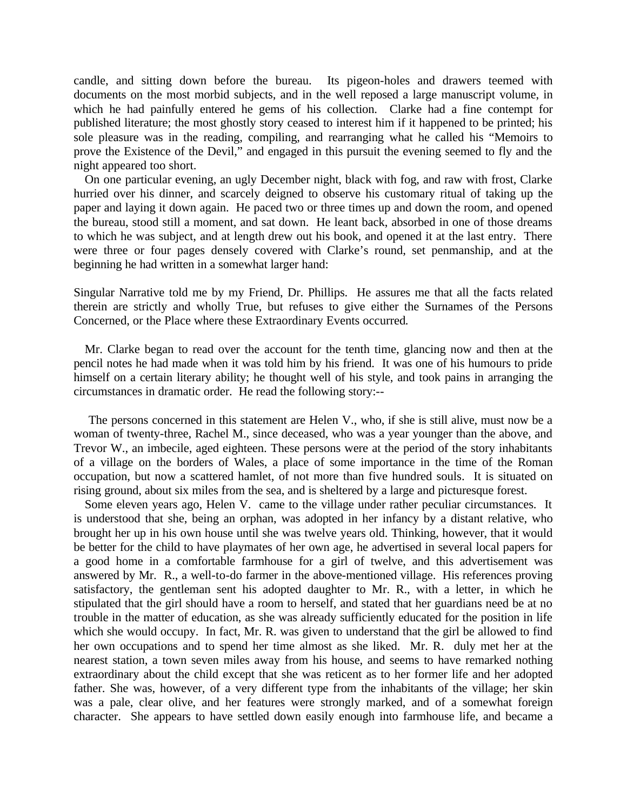candle, and sitting down before the bureau. Its pigeon-holes and drawers teemed with documents on the most morbid subjects, and in the well reposed a large manuscript volume, in which he had painfully entered he gems of his collection. Clarke had a fine contempt for published literature; the most ghostly story ceased to interest him if it happened to be printed; his sole pleasure was in the reading, compiling, and rearranging what he called his "Memoirs to prove the Existence of the Devil," and engaged in this pursuit the evening seemed to fly and the night appeared too short.

On one particular evening, an ugly December night, black with fog, and raw with frost, Clarke hurried over his dinner, and scarcely deigned to observe his customary ritual of taking up the paper and laying it down again. He paced two or three times up and down the room, and opened the bureau, stood still a moment, and sat down. He leant back, absorbed in one of those dreams to which he was subject, and at length drew out his book, and opened it at the last entry. There were three or four pages densely covered with Clarke's round, set penmanship, and at the beginning he had written in a somewhat larger hand:

Singular Narrative told me by my Friend, Dr. Phillips. He assures me that all the facts related therein are strictly and wholly True, but refuses to give either the Surnames of the Persons Concerned, or the Place where these Extraordinary Events occurred*.*

Mr. Clarke began to read over the account for the tenth time, glancing now and then at the pencil notes he had made when it was told him by his friend. It was one of his humours to pride himself on a certain literary ability; he thought well of his style, and took pains in arranging the circumstances in dramatic order. He read the following story:--

 The persons concerned in this statement are Helen V., who, if she is still alive, must now be a woman of twenty-three, Rachel M., since deceased, who was a year younger than the above, and Trevor W., an imbecile, aged eighteen. These persons were at the period of the story inhabitants of a village on the borders of Wales, a place of some importance in the time of the Roman occupation, but now a scattered hamlet, of not more than five hundred souls. It is situated on rising ground, about six miles from the sea, and is sheltered by a large and picturesque forest.

Some eleven years ago, Helen V. came to the village under rather peculiar circumstances. It is understood that she, being an orphan, was adopted in her infancy by a distant relative, who brought her up in his own house until she was twelve years old. Thinking, however, that it would be better for the child to have playmates of her own age, he advertised in several local papers for a good home in a comfortable farmhouse for a girl of twelve, and this advertisement was answered by Mr. R., a well-to-do farmer in the above-mentioned village. His references proving satisfactory, the gentleman sent his adopted daughter to Mr. R., with a letter, in which he stipulated that the girl should have a room to herself, and stated that her guardians need be at no trouble in the matter of education, as she was already sufficiently educated for the position in life which she would occupy. In fact, Mr. R. was given to understand that the girl be allowed to find her own occupations and to spend her time almost as she liked. Mr. R. duly met her at the nearest station, a town seven miles away from his house, and seems to have remarked nothing extraordinary about the child except that she was reticent as to her former life and her adopted father. She was, however, of a very different type from the inhabitants of the village; her skin was a pale, clear olive, and her features were strongly marked, and of a somewhat foreign character. She appears to have settled down easily enough into farmhouse life, and became a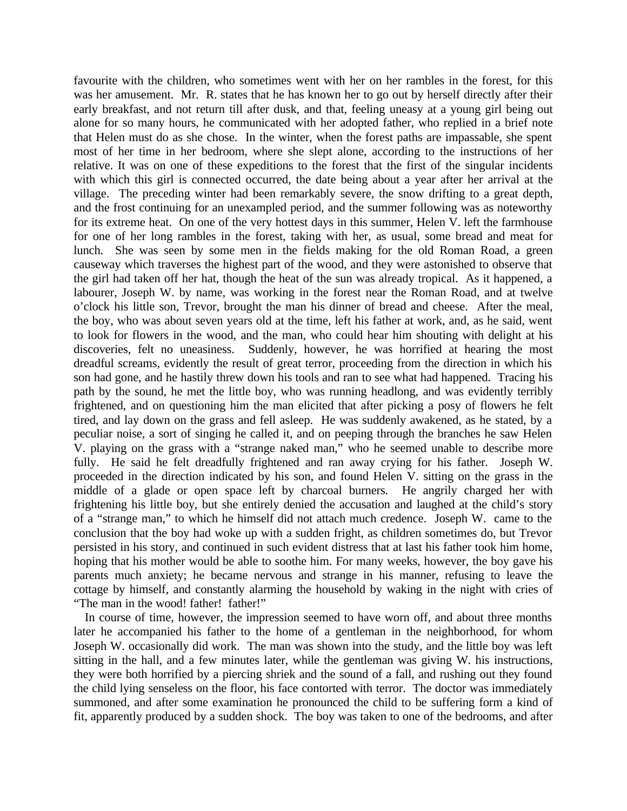favourite with the children, who sometimes went with her on her rambles in the forest, for this was her amusement. Mr. R. states that he has known her to go out by herself directly after their early breakfast, and not return till after dusk, and that, feeling uneasy at a young girl being out alone for so many hours, he communicated with her adopted father, who replied in a brief note that Helen must do as she chose. In the winter, when the forest paths are impassable, she spent most of her time in her bedroom, where she slept alone, according to the instructions of her relative. It was on one of these expeditions to the forest that the first of the singular incidents with which this girl is connected occurred, the date being about a year after her arrival at the village. The preceding winter had been remarkably severe, the snow drifting to a great depth, and the frost continuing for an unexampled period, and the summer following was as noteworthy for its extreme heat. On one of the very hottest days in this summer, Helen V. left the farmhouse for one of her long rambles in the forest, taking with her, as usual, some bread and meat for lunch. She was seen by some men in the fields making for the old Roman Road, a green causeway which traverses the highest part of the wood, and they were astonished to observe that the girl had taken off her hat, though the heat of the sun was already tropical. As it happened, a labourer, Joseph W. by name, was working in the forest near the Roman Road, and at twelve o'clock his little son, Trevor, brought the man his dinner of bread and cheese. After the meal, the boy, who was about seven years old at the time, left his father at work, and, as he said, went to look for flowers in the wood, and the man, who could hear him shouting with delight at his discoveries, felt no uneasiness. Suddenly, however, he was horrified at hearing the most dreadful screams, evidently the result of great terror, proceeding from the direction in which his son had gone, and he hastily threw down his tools and ran to see what had happened. Tracing his path by the sound, he met the little boy, who was running headlong, and was evidently terribly frightened, and on questioning him the man elicited that after picking a posy of flowers he felt tired, and lay down on the grass and fell asleep. He was suddenly awakened, as he stated, by a peculiar noise, a sort of singing he called it, and on peeping through the branches he saw Helen V. playing on the grass with a "strange naked man," who he seemed unable to describe more fully. He said he felt dreadfully frightened and ran away crying for his father. Joseph W. proceeded in the direction indicated by his son, and found Helen V. sitting on the grass in the middle of a glade or open space left by charcoal burners. He angrily charged her with frightening his little boy, but she entirely denied the accusation and laughed at the child's story of a "strange man," to which he himself did not attach much credence. Joseph W. came to the conclusion that the boy had woke up with a sudden fright, as children sometimes do, but Trevor persisted in his story, and continued in such evident distress that at last his father took him home, hoping that his mother would be able to soothe him. For many weeks, however, the boy gave his parents much anxiety; he became nervous and strange in his manner, refusing to leave the cottage by himself, and constantly alarming the household by waking in the night with cries of "The man in the wood! father! father!"

In course of time, however, the impression seemed to have worn off, and about three months later he accompanied his father to the home of a gentleman in the neighborhood, for whom Joseph W. occasionally did work. The man was shown into the study, and the little boy was left sitting in the hall, and a few minutes later, while the gentleman was giving W. his instructions, they were both horrified by a piercing shriek and the sound of a fall, and rushing out they found the child lying senseless on the floor, his face contorted with terror. The doctor was immediately summoned, and after some examination he pronounced the child to be suffering form a kind of fit, apparently produced by a sudden shock. The boy was taken to one of the bedrooms, and after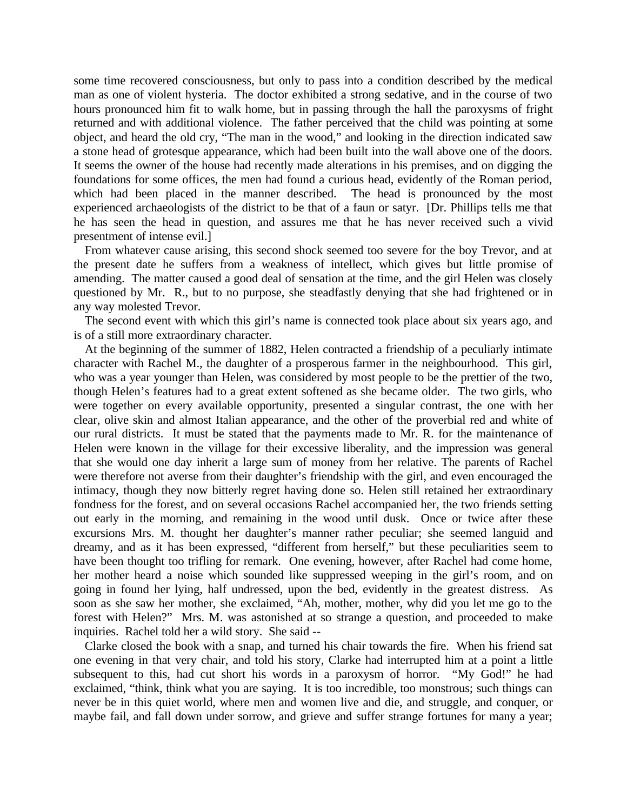some time recovered consciousness, but only to pass into a condition described by the medical man as one of violent hysteria. The doctor exhibited a strong sedative, and in the course of two hours pronounced him fit to walk home, but in passing through the hall the paroxysms of fright returned and with additional violence. The father perceived that the child was pointing at some object, and heard the old cry, "The man in the wood," and looking in the direction indicated saw a stone head of grotesque appearance, which had been built into the wall above one of the doors. It seems the owner of the house had recently made alterations in his premises, and on digging the foundations for some offices, the men had found a curious head, evidently of the Roman period, which had been placed in the manner described. The head is pronounced by the most experienced archaeologists of the district to be that of a faun or satyr. [Dr. Phillips tells me that he has seen the head in question, and assures me that he has never received such a vivid presentment of intense evil.]

From whatever cause arising, this second shock seemed too severe for the boy Trevor, and at the present date he suffers from a weakness of intellect, which gives but little promise of amending. The matter caused a good deal of sensation at the time, and the girl Helen was closely questioned by Mr. R., but to no purpose, she steadfastly denying that she had frightened or in any way molested Trevor.

The second event with which this girl's name is connected took place about six years ago, and is of a still more extraordinary character.

At the beginning of the summer of 1882, Helen contracted a friendship of a peculiarly intimate character with Rachel M., the daughter of a prosperous farmer in the neighbourhood. This girl, who was a year younger than Helen, was considered by most people to be the prettier of the two, though Helen's features had to a great extent softened as she became older. The two girls, who were together on every available opportunity, presented a singular contrast, the one with her clear, olive skin and almost Italian appearance, and the other of the proverbial red and white of our rural districts. It must be stated that the payments made to Mr. R. for the maintenance of Helen were known in the village for their excessive liberality, and the impression was general that she would one day inherit a large sum of money from her relative. The parents of Rachel were therefore not averse from their daughter's friendship with the girl, and even encouraged the intimacy, though they now bitterly regret having done so. Helen still retained her extraordinary fondness for the forest, and on several occasions Rachel accompanied her, the two friends setting out early in the morning, and remaining in the wood until dusk. Once or twice after these excursions Mrs. M. thought her daughter's manner rather peculiar; she seemed languid and dreamy, and as it has been expressed, "different from herself," but these peculiarities seem to have been thought too trifling for remark. One evening, however, after Rachel had come home, her mother heard a noise which sounded like suppressed weeping in the girl's room, and on going in found her lying, half undressed, upon the bed, evidently in the greatest distress. As soon as she saw her mother, she exclaimed, "Ah, mother, mother, why did you let me go to the forest with Helen?" Mrs. M. was astonished at so strange a question, and proceeded to make inquiries. Rachel told her a wild story. She said --

Clarke closed the book with a snap, and turned his chair towards the fire. When his friend sat one evening in that very chair, and told his story, Clarke had interrupted him at a point a little subsequent to this, had cut short his words in a paroxysm of horror. "My God!" he had exclaimed, "think, think what you are saying. It is too incredible, too monstrous; such things can never be in this quiet world, where men and women live and die, and struggle, and conquer, or maybe fail, and fall down under sorrow, and grieve and suffer strange fortunes for many a year;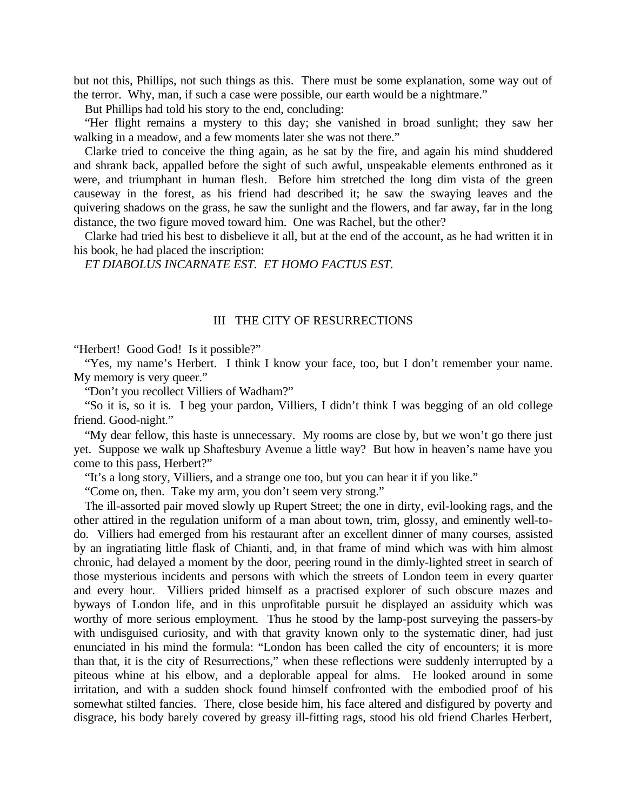but not this, Phillips, not such things as this. There must be some explanation, some way out of the terror. Why, man, if such a case were possible, our earth would be a nightmare."

But Phillips had told his story to the end, concluding:

"Her flight remains a mystery to this day; she vanished in broad sunlight; they saw her walking in a meadow, and a few moments later she was not there."

Clarke tried to conceive the thing again, as he sat by the fire, and again his mind shuddered and shrank back, appalled before the sight of such awful, unspeakable elements enthroned as it were, and triumphant in human flesh. Before him stretched the long dim vista of the green causeway in the forest, as his friend had described it; he saw the swaying leaves and the quivering shadows on the grass, he saw the sunlight and the flowers, and far away, far in the long distance, the two figure moved toward him. One was Rachel, but the other?

Clarke had tried his best to disbelieve it all, but at the end of the account, as he had written it in his book, he had placed the inscription:

*ET DIABOLUS INCARNATE EST. ET HOMO FACTUS EST.*

## III THE CITY OF RESURRECTIONS

"Herbert! Good God! Is it possible?"

"Yes, my name's Herbert. I think I know your face, too, but I don't remember your name. My memory is very queer."

"Don't you recollect Villiers of Wadham?"

"So it is, so it is. I beg your pardon, Villiers, I didn't think I was begging of an old college friend. Good-night."

"My dear fellow, this haste is unnecessary. My rooms are close by, but we won't go there just yet. Suppose we walk up Shaftesbury Avenue a little way? But how in heaven's name have you come to this pass, Herbert?"

"It's a long story, Villiers, and a strange one too, but you can hear it if you like."

"Come on, then. Take my arm, you don't seem very strong."

The ill-assorted pair moved slowly up Rupert Street; the one in dirty, evil-looking rags, and the other attired in the regulation uniform of a man about town, trim, glossy, and eminently well-todo. Villiers had emerged from his restaurant after an excellent dinner of many courses, assisted by an ingratiating little flask of Chianti, and, in that frame of mind which was with him almost chronic, had delayed a moment by the door, peering round in the dimly-lighted street in search of those mysterious incidents and persons with which the streets of London teem in every quarter and every hour. Villiers prided himself as a practised explorer of such obscure mazes and byways of London life, and in this unprofitable pursuit he displayed an assiduity which was worthy of more serious employment. Thus he stood by the lamp-post surveying the passers-by with undisguised curiosity, and with that gravity known only to the systematic diner, had just enunciated in his mind the formula: "London has been called the city of encounters; it is more than that, it is the city of Resurrections," when these reflections were suddenly interrupted by a piteous whine at his elbow, and a deplorable appeal for alms. He looked around in some irritation, and with a sudden shock found himself confronted with the embodied proof of his somewhat stilted fancies. There, close beside him, his face altered and disfigured by poverty and disgrace, his body barely covered by greasy ill-fitting rags, stood his old friend Charles Herbert,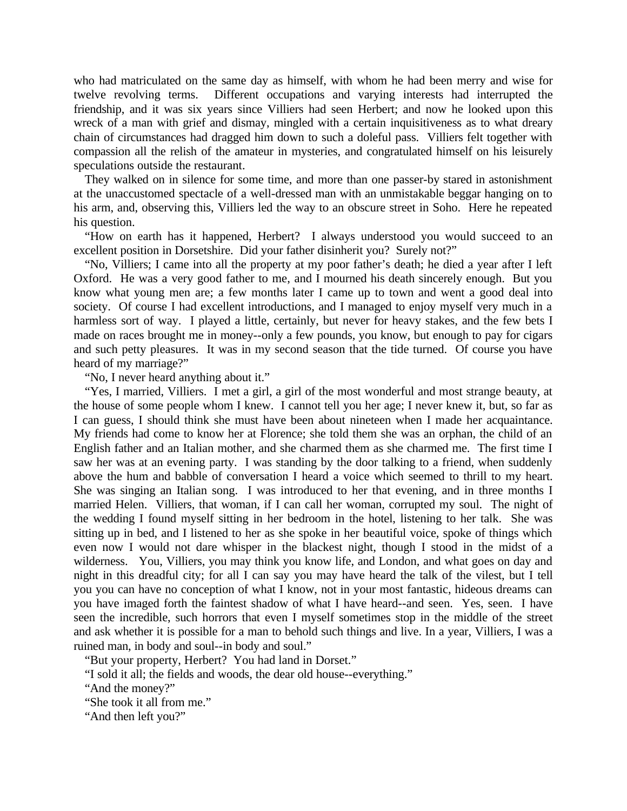who had matriculated on the same day as himself, with whom he had been merry and wise for twelve revolving terms. Different occupations and varying interests had interrupted the friendship, and it was six years since Villiers had seen Herbert; and now he looked upon this wreck of a man with grief and dismay, mingled with a certain inquisitiveness as to what dreary chain of circumstances had dragged him down to such a doleful pass. Villiers felt together with compassion all the relish of the amateur in mysteries, and congratulated himself on his leisurely speculations outside the restaurant.

They walked on in silence for some time, and more than one passer-by stared in astonishment at the unaccustomed spectacle of a well-dressed man with an unmistakable beggar hanging on to his arm, and, observing this, Villiers led the way to an obscure street in Soho. Here he repeated his question.

"How on earth has it happened, Herbert? I always understood you would succeed to an excellent position in Dorsetshire. Did your father disinherit you? Surely not?"

"No, Villiers; I came into all the property at my poor father's death; he died a year after I left Oxford. He was a very good father to me, and I mourned his death sincerely enough. But you know what young men are; a few months later I came up to town and went a good deal into society. Of course I had excellent introductions, and I managed to enjoy myself very much in a harmless sort of way. I played a little, certainly, but never for heavy stakes, and the few bets I made on races brought me in money--only a few pounds, you know, but enough to pay for cigars and such petty pleasures. It was in my second season that the tide turned. Of course you have heard of my marriage?"

"No, I never heard anything about it."

"Yes, I married, Villiers. I met a girl, a girl of the most wonderful and most strange beauty, at the house of some people whom I knew. I cannot tell you her age; I never knew it, but, so far as I can guess, I should think she must have been about nineteen when I made her acquaintance. My friends had come to know her at Florence; she told them she was an orphan, the child of an English father and an Italian mother, and she charmed them as she charmed me. The first time I saw her was at an evening party. I was standing by the door talking to a friend, when suddenly above the hum and babble of conversation I heard a voice which seemed to thrill to my heart. She was singing an Italian song. I was introduced to her that evening, and in three months I married Helen. Villiers, that woman, if I can call her woman, corrupted my soul. The night of the wedding I found myself sitting in her bedroom in the hotel, listening to her talk. She was sitting up in bed, and I listened to her as she spoke in her beautiful voice, spoke of things which even now I would not dare whisper in the blackest night, though I stood in the midst of a wilderness. You, Villiers, you may think you know life, and London, and what goes on day and night in this dreadful city; for all I can say you may have heard the talk of the vilest, but I tell you you can have no conception of what I know, not in your most fantastic, hideous dreams can you have imaged forth the faintest shadow of what I have heard--and seen. Yes, seen. I have seen the incredible, such horrors that even I myself sometimes stop in the middle of the street and ask whether it is possible for a man to behold such things and live. In a year, Villiers, I was a ruined man, in body and soul--in body and soul."

"But your property, Herbert? You had land in Dorset."

"I sold it all; the fields and woods, the dear old house--everything."

"And the money?"

"She took it all from me."

"And then left you?"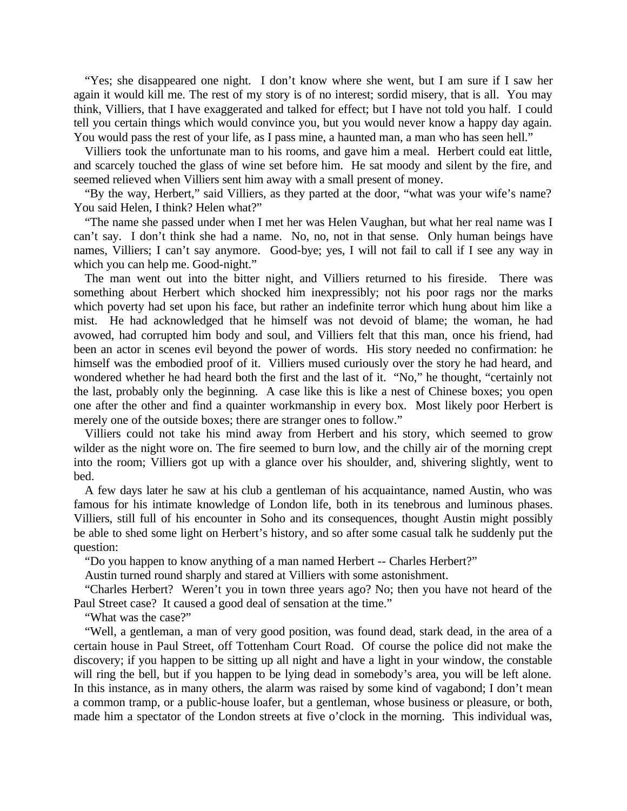"Yes; she disappeared one night. I don't know where she went, but I am sure if I saw her again it would kill me. The rest of my story is of no interest; sordid misery, that is all. You may think, Villiers, that I have exaggerated and talked for effect; but I have not told you half. I could tell you certain things which would convince you, but you would never know a happy day again. You would pass the rest of your life, as I pass mine, a haunted man, a man who has seen hell."

Villiers took the unfortunate man to his rooms, and gave him a meal. Herbert could eat little, and scarcely touched the glass of wine set before him. He sat moody and silent by the fire, and seemed relieved when Villiers sent him away with a small present of money.

"By the way, Herbert," said Villiers, as they parted at the door, "what was your wife's name? You said Helen, I think? Helen what?"

"The name she passed under when I met her was Helen Vaughan, but what her real name was I can't say. I don't think she had a name. No, no, not in that sense. Only human beings have names, Villiers; I can't say anymore. Good-bye; yes, I will not fail to call if I see any way in which you can help me. Good-night."

The man went out into the bitter night, and Villiers returned to his fireside. There was something about Herbert which shocked him inexpressibly; not his poor rags nor the marks which poverty had set upon his face, but rather an indefinite terror which hung about him like a mist. He had acknowledged that he himself was not devoid of blame; the woman, he had avowed, had corrupted him body and soul, and Villiers felt that this man, once his friend, had been an actor in scenes evil beyond the power of words. His story needed no confirmation: he himself was the embodied proof of it. Villiers mused curiously over the story he had heard, and wondered whether he had heard both the first and the last of it. "No," he thought, "certainly not the last, probably only the beginning. A case like this is like a nest of Chinese boxes; you open one after the other and find a quainter workmanship in every box. Most likely poor Herbert is merely one of the outside boxes; there are stranger ones to follow."

Villiers could not take his mind away from Herbert and his story, which seemed to grow wilder as the night wore on. The fire seemed to burn low, and the chilly air of the morning crept into the room; Villiers got up with a glance over his shoulder, and, shivering slightly, went to bed.

A few days later he saw at his club a gentleman of his acquaintance, named Austin, who was famous for his intimate knowledge of London life, both in its tenebrous and luminous phases. Villiers, still full of his encounter in Soho and its consequences, thought Austin might possibly be able to shed some light on Herbert's history, and so after some casual talk he suddenly put the question:

"Do you happen to know anything of a man named Herbert -- Charles Herbert?"

Austin turned round sharply and stared at Villiers with some astonishment.

"Charles Herbert? Weren't you in town three years ago? No; then you have not heard of the Paul Street case? It caused a good deal of sensation at the time."

"What was the case?"

"Well, a gentleman, a man of very good position, was found dead, stark dead, in the area of a certain house in Paul Street, off Tottenham Court Road. Of course the police did not make the discovery; if you happen to be sitting up all night and have a light in your window, the constable will ring the bell, but if you happen to be lying dead in somebody's area, you will be left alone. In this instance, as in many others, the alarm was raised by some kind of vagabond; I don't mean a common tramp, or a public-house loafer, but a gentleman, whose business or pleasure, or both, made him a spectator of the London streets at five o'clock in the morning. This individual was,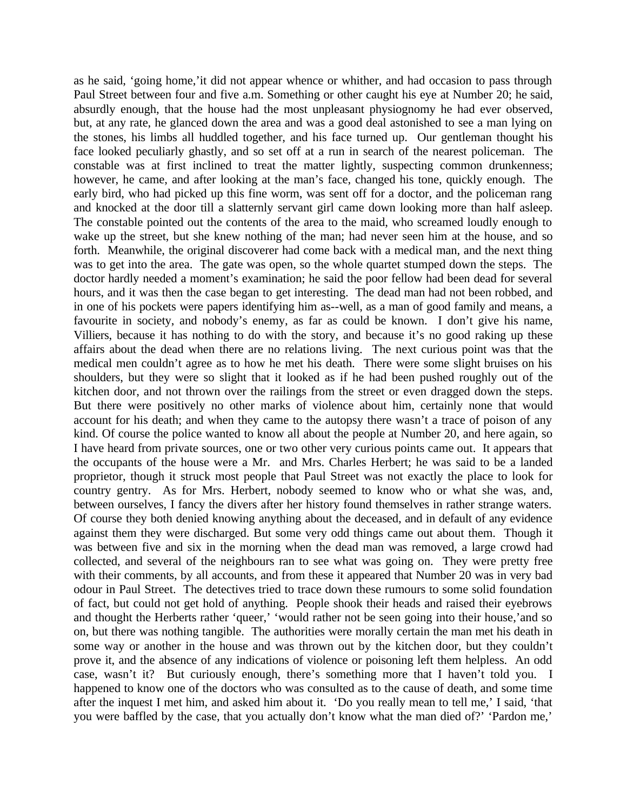as he said, 'going home,'it did not appear whence or whither, and had occasion to pass through Paul Street between four and five a.m. Something or other caught his eye at Number 20; he said, absurdly enough, that the house had the most unpleasant physiognomy he had ever observed, but, at any rate, he glanced down the area and was a good deal astonished to see a man lying on the stones, his limbs all huddled together, and his face turned up. Our gentleman thought his face looked peculiarly ghastly, and so set off at a run in search of the nearest policeman. The constable was at first inclined to treat the matter lightly, suspecting common drunkenness; however, he came, and after looking at the man's face, changed his tone, quickly enough. The early bird, who had picked up this fine worm, was sent off for a doctor, and the policeman rang and knocked at the door till a slatternly servant girl came down looking more than half asleep. The constable pointed out the contents of the area to the maid, who screamed loudly enough to wake up the street, but she knew nothing of the man; had never seen him at the house, and so forth. Meanwhile, the original discoverer had come back with a medical man, and the next thing was to get into the area. The gate was open, so the whole quartet stumped down the steps. The doctor hardly needed a moment's examination; he said the poor fellow had been dead for several hours, and it was then the case began to get interesting. The dead man had not been robbed, and in one of his pockets were papers identifying him as--well, as a man of good family and means, a favourite in society, and nobody's enemy, as far as could be known. I don't give his name, Villiers, because it has nothing to do with the story, and because it's no good raking up these affairs about the dead when there are no relations living. The next curious point was that the medical men couldn't agree as to how he met his death. There were some slight bruises on his shoulders, but they were so slight that it looked as if he had been pushed roughly out of the kitchen door, and not thrown over the railings from the street or even dragged down the steps. But there were positively no other marks of violence about him, certainly none that would account for his death; and when they came to the autopsy there wasn't a trace of poison of any kind. Of course the police wanted to know all about the people at Number 20, and here again, so I have heard from private sources, one or two other very curious points came out. It appears that the occupants of the house were a Mr. and Mrs. Charles Herbert; he was said to be a landed proprietor, though it struck most people that Paul Street was not exactly the place to look for country gentry. As for Mrs. Herbert, nobody seemed to know who or what she was, and, between ourselves, I fancy the divers after her history found themselves in rather strange waters. Of course they both denied knowing anything about the deceased, and in default of any evidence against them they were discharged. But some very odd things came out about them. Though it was between five and six in the morning when the dead man was removed, a large crowd had collected, and several of the neighbours ran to see what was going on. They were pretty free with their comments, by all accounts, and from these it appeared that Number 20 was in very bad odour in Paul Street. The detectives tried to trace down these rumours to some solid foundation of fact, but could not get hold of anything. People shook their heads and raised their eyebrows and thought the Herberts rather 'queer,' 'would rather not be seen going into their house,'and so on, but there was nothing tangible. The authorities were morally certain the man met his death in some way or another in the house and was thrown out by the kitchen door, but they couldn't prove it, and the absence of any indications of violence or poisoning left them helpless. An odd case, wasn't it? But curiously enough, there's something more that I haven't told you. I happened to know one of the doctors who was consulted as to the cause of death, and some time after the inquest I met him, and asked him about it. 'Do you really mean to tell me,' I said, 'that you were baffled by the case, that you actually don't know what the man died of?' 'Pardon me,'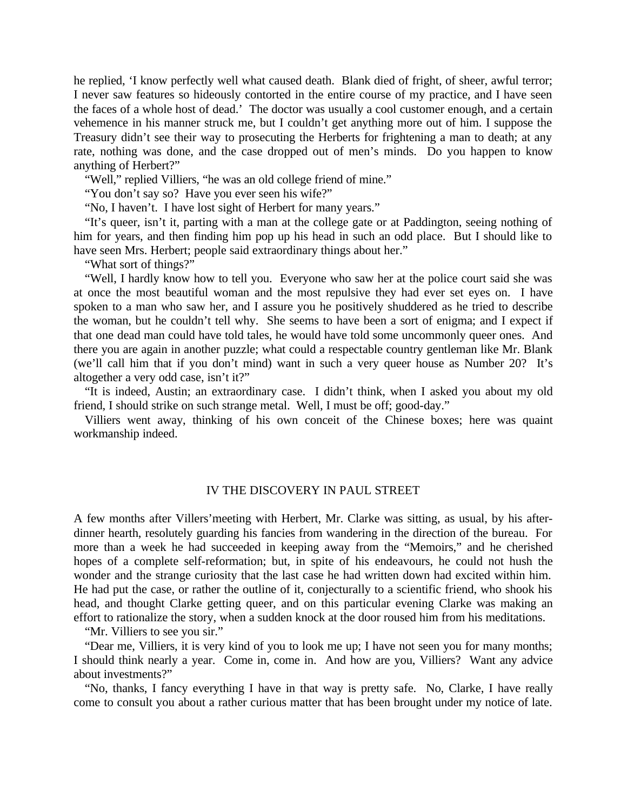he replied, 'I know perfectly well what caused death. Blank died of fright, of sheer, awful terror; I never saw features so hideously contorted in the entire course of my practice, and I have seen the faces of a whole host of dead.' The doctor was usually a cool customer enough, and a certain vehemence in his manner struck me, but I couldn't get anything more out of him. I suppose the Treasury didn't see their way to prosecuting the Herberts for frightening a man to death; at any rate, nothing was done, and the case dropped out of men's minds. Do you happen to know anything of Herbert?"

"Well," replied Villiers, "he was an old college friend of mine."

"You don't say so? Have you ever seen his wife?"

"No, I haven't. I have lost sight of Herbert for many years."

"It's queer, isn't it, parting with a man at the college gate or at Paddington, seeing nothing of him for years, and then finding him pop up his head in such an odd place. But I should like to have seen Mrs. Herbert; people said extraordinary things about her."

"What sort of things?"

"Well, I hardly know how to tell you. Everyone who saw her at the police court said she was at once the most beautiful woman and the most repulsive they had ever set eyes on. I have spoken to a man who saw her, and I assure you he positively shuddered as he tried to describe the woman, but he couldn't tell why. She seems to have been a sort of enigma; and I expect if that one dead man could have told tales, he would have told some uncommonly queer ones. And there you are again in another puzzle; what could a respectable country gentleman like Mr. Blank (we'll call him that if you don't mind) want in such a very queer house as Number 20? It's altogether a very odd case, isn't it?"

"It is indeed, Austin; an extraordinary case. I didn't think, when I asked you about my old friend, I should strike on such strange metal. Well, I must be off; good-day."

Villiers went away, thinking of his own conceit of the Chinese boxes; here was quaint workmanship indeed.

## IV THE DISCOVERY IN PAUL STREET

A few months after Villers'meeting with Herbert, Mr. Clarke was sitting, as usual, by his afterdinner hearth, resolutely guarding his fancies from wandering in the direction of the bureau. For more than a week he had succeeded in keeping away from the "Memoirs," and he cherished hopes of a complete self-reformation; but, in spite of his endeavours, he could not hush the wonder and the strange curiosity that the last case he had written down had excited within him. He had put the case, or rather the outline of it, conjecturally to a scientific friend, who shook his head, and thought Clarke getting queer, and on this particular evening Clarke was making an effort to rationalize the story, when a sudden knock at the door roused him from his meditations.

"Mr. Villiers to see you sir."

"Dear me, Villiers, it is very kind of you to look me up; I have not seen you for many months; I should think nearly a year. Come in, come in. And how are you, Villiers? Want any advice about investments?"

"No, thanks, I fancy everything I have in that way is pretty safe. No, Clarke, I have really come to consult you about a rather curious matter that has been brought under my notice of late.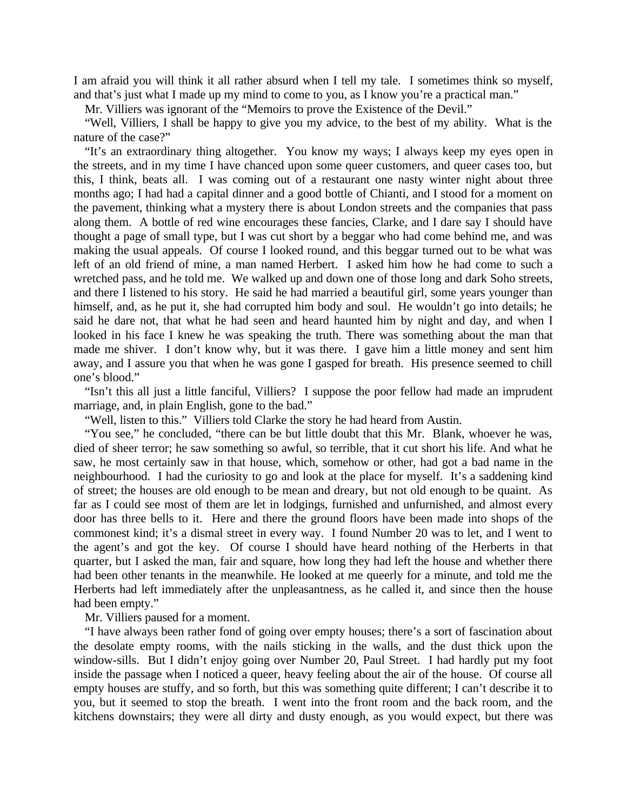I am afraid you will think it all rather absurd when I tell my tale. I sometimes think so myself, and that's just what I made up my mind to come to you, as I know you're a practical man."

Mr. Villiers was ignorant of the "Memoirs to prove the Existence of the Devil."

"Well, Villiers, I shall be happy to give you my advice, to the best of my ability. What is the nature of the case?"

"It's an extraordinary thing altogether. You know my ways; I always keep my eyes open in the streets, and in my time I have chanced upon some queer customers, and queer cases too, but this, I think, beats all. I was coming out of a restaurant one nasty winter night about three months ago; I had had a capital dinner and a good bottle of Chianti, and I stood for a moment on the pavement, thinking what a mystery there is about London streets and the companies that pass along them. A bottle of red wine encourages these fancies, Clarke, and I dare say I should have thought a page of small type, but I was cut short by a beggar who had come behind me, and was making the usual appeals. Of course I looked round, and this beggar turned out to be what was left of an old friend of mine, a man named Herbert. I asked him how he had come to such a wretched pass, and he told me. We walked up and down one of those long and dark Soho streets, and there I listened to his story. He said he had married a beautiful girl, some years younger than himself, and, as he put it, she had corrupted him body and soul. He wouldn't go into details; he said he dare not, that what he had seen and heard haunted him by night and day, and when I looked in his face I knew he was speaking the truth. There was something about the man that made me shiver. I don't know why, but it was there. I gave him a little money and sent him away, and I assure you that when he was gone I gasped for breath. His presence seemed to chill one's blood."

"Isn't this all just a little fanciful, Villiers? I suppose the poor fellow had made an imprudent marriage, and, in plain English, gone to the bad."

"Well, listen to this." Villiers told Clarke the story he had heard from Austin.

"You see," he concluded, "there can be but little doubt that this Mr. Blank, whoever he was, died of sheer terror; he saw something so awful, so terrible, that it cut short his life. And what he saw, he most certainly saw in that house, which, somehow or other, had got a bad name in the neighbourhood. I had the curiosity to go and look at the place for myself. It's a saddening kind of street; the houses are old enough to be mean and dreary, but not old enough to be quaint. As far as I could see most of them are let in lodgings, furnished and unfurnished, and almost every door has three bells to it. Here and there the ground floors have been made into shops of the commonest kind; it's a dismal street in every way. I found Number 20 was to let, and I went to the agent's and got the key. Of course I should have heard nothing of the Herberts in that quarter, but I asked the man, fair and square, how long they had left the house and whether there had been other tenants in the meanwhile. He looked at me queerly for a minute, and told me the Herberts had left immediately after the unpleasantness, as he called it, and since then the house had been empty."

Mr. Villiers paused for a moment.

"I have always been rather fond of going over empty houses; there's a sort of fascination about the desolate empty rooms, with the nails sticking in the walls, and the dust thick upon the window-sills. But I didn't enjoy going over Number 20, Paul Street. I had hardly put my foot inside the passage when I noticed a queer, heavy feeling about the air of the house. Of course all empty houses are stuffy, and so forth, but this was something quite different; I can't describe it to you, but it seemed to stop the breath. I went into the front room and the back room, and the kitchens downstairs; they were all dirty and dusty enough, as you would expect, but there was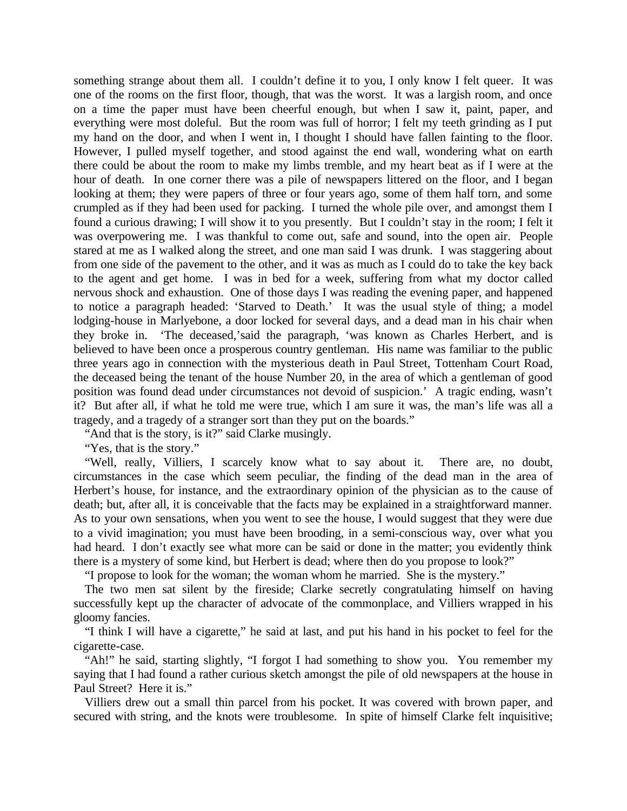something strange about them all. I couldn't define it to you, I only know I felt queer. It was one of the rooms on the first floor, though, that was the worst. It was a largish room, and once on a time the paper must have been cheerful enough, but when I saw it, paint, paper, and everything were most doleful. But the room was full of horror; I felt my teeth grinding as I put my hand on the door, and when I went in, I thought I should have fallen fainting to the floor. However, I pulled myself together, and stood against the end wall, wondering what on earth there could be about the room to make my limbs tremble, and my heart beat as if I were at the hour of death. In one corner there was a pile of newspapers littered on the floor, and I began looking at them; they were papers of three or four years ago, some of them half torn, and some crumpled as if they had been used for packing. I turned the whole pile over, and amongst them I found a curious drawing; I will show it to you presently. But I couldn't stay in the room; I felt it was overpowering me. I was thankful to come out, safe and sound, into the open air. People stared at me as I walked along the street, and one man said I was drunk. I was staggering about from one side of the pavement to the other, and it was as much as I could do to take the key back to the agent and get home. I was in bed for a week, suffering from what my doctor called nervous shock and exhaustion. One of those days I was reading the evening paper, and happened to notice a paragraph headed: 'Starved to Death.' It was the usual style of thing; a model lodging-house in Marlyebone, a door locked for several days, and a dead man in his chair when they broke in. 'The deceased,'said the paragraph, 'was known as Charles Herbert, and is believed to have been once a prosperous country gentleman. His name was familiar to the public three years ago in connection with the mysterious death in Paul Street, Tottenham Court Road, the deceased being the tenant of the house Number 20, in the area of which a gentleman of good position was found dead under circumstances not devoid of suspicion.' A tragic ending, wasn't it? But after all, if what he told me were true, which I am sure it was, the man's life was all a tragedy, and a tragedy of a stranger sort than they put on the boards."

"And that is the story, is it?" said Clarke musingly.

"Yes, that is the story."

"Well, really, Villiers, I scarcely know what to say about it. There are, no doubt, circumstances in the case which seem peculiar, the finding of the dead man in the area of Herbert's house, for instance, and the extraordinary opinion of the physician as to the cause of death; but, after all, it is conceivable that the facts may be explained in a straightforward manner. As to your own sensations, when you went to see the house, I would suggest that they were due to a vivid imagination; you must have been brooding, in a semi-conscious way, over what you had heard. I don't exactly see what more can be said or done in the matter; you evidently think there is a mystery of some kind, but Herbert is dead; where then do you propose to look?"

"I propose to look for the woman; the woman whom he married. She is the mystery."

The two men sat silent by the fireside; Clarke secretly congratulating himself on having successfully kept up the character of advocate of the commonplace, and Villiers wrapped in his gloomy fancies.

"I think I will have a cigarette," he said at last, and put his hand in his pocket to feel for the cigarette-case.

"Ah!" he said, starting slightly, "I forgot I had something to show you. You remember my saying that I had found a rather curious sketch amongst the pile of old newspapers at the house in Paul Street? Here it is."

Villiers drew out a small thin parcel from his pocket. It was covered with brown paper, and secured with string, and the knots were troublesome. In spite of himself Clarke felt inquisitive;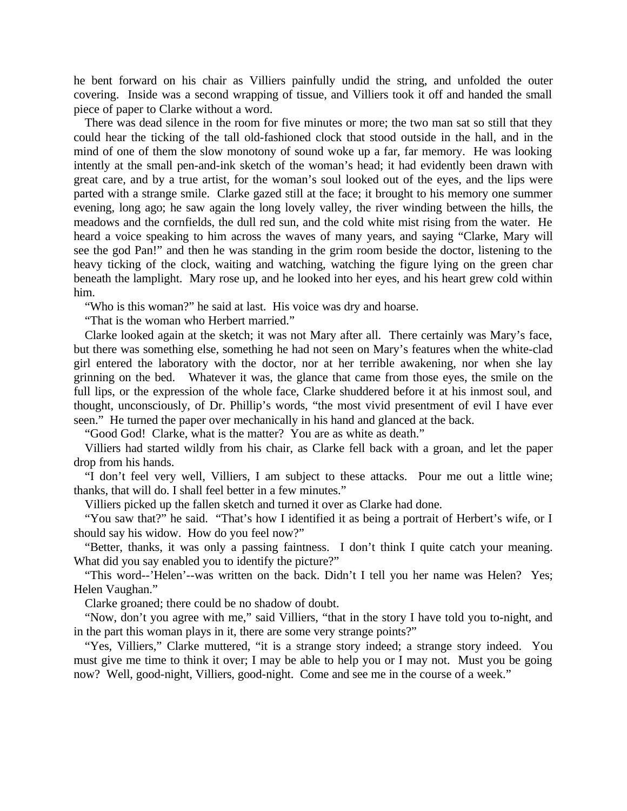he bent forward on his chair as Villiers painfully undid the string, and unfolded the outer covering. Inside was a second wrapping of tissue, and Villiers took it off and handed the small piece of paper to Clarke without a word.

There was dead silence in the room for five minutes or more; the two man sat so still that they could hear the ticking of the tall old-fashioned clock that stood outside in the hall, and in the mind of one of them the slow monotony of sound woke up a far, far memory. He was looking intently at the small pen-and-ink sketch of the woman's head; it had evidently been drawn with great care, and by a true artist, for the woman's soul looked out of the eyes, and the lips were parted with a strange smile. Clarke gazed still at the face; it brought to his memory one summer evening, long ago; he saw again the long lovely valley, the river winding between the hills, the meadows and the cornfields, the dull red sun, and the cold white mist rising from the water. He heard a voice speaking to him across the waves of many years, and saying "Clarke, Mary will see the god Pan!" and then he was standing in the grim room beside the doctor, listening to the heavy ticking of the clock, waiting and watching, watching the figure lying on the green char beneath the lamplight. Mary rose up, and he looked into her eyes, and his heart grew cold within him.

"Who is this woman?" he said at last. His voice was dry and hoarse.

"That is the woman who Herbert married."

Clarke looked again at the sketch; it was not Mary after all. There certainly was Mary's face, but there was something else, something he had not seen on Mary's features when the white-clad girl entered the laboratory with the doctor, nor at her terrible awakening, nor when she lay grinning on the bed. Whatever it was, the glance that came from those eyes, the smile on the full lips, or the expression of the whole face, Clarke shuddered before it at his inmost soul, and thought, unconsciously, of Dr. Phillip's words, "the most vivid presentment of evil I have ever seen." He turned the paper over mechanically in his hand and glanced at the back.

"Good God! Clarke, what is the matter? You are as white as death."

Villiers had started wildly from his chair, as Clarke fell back with a groan, and let the paper drop from his hands.

"I don't feel very well, Villiers, I am subject to these attacks. Pour me out a little wine; thanks, that will do. I shall feel better in a few minutes."

Villiers picked up the fallen sketch and turned it over as Clarke had done.

"You saw that?" he said. "That's how I identified it as being a portrait of Herbert's wife, or I should say his widow. How do you feel now?"

"Better, thanks, it was only a passing faintness. I don't think I quite catch your meaning. What did you say enabled you to identify the picture?"

"This word--'Helen'--was written on the back. Didn't I tell you her name was Helen? Yes; Helen Vaughan."

Clarke groaned; there could be no shadow of doubt.

"Now, don't you agree with me," said Villiers, "that in the story I have told you to-night, and in the part this woman plays in it, there are some very strange points?"

"Yes, Villiers," Clarke muttered, "it is a strange story indeed; a strange story indeed. You must give me time to think it over; I may be able to help you or I may not. Must you be going now? Well, good-night, Villiers, good-night. Come and see me in the course of a week."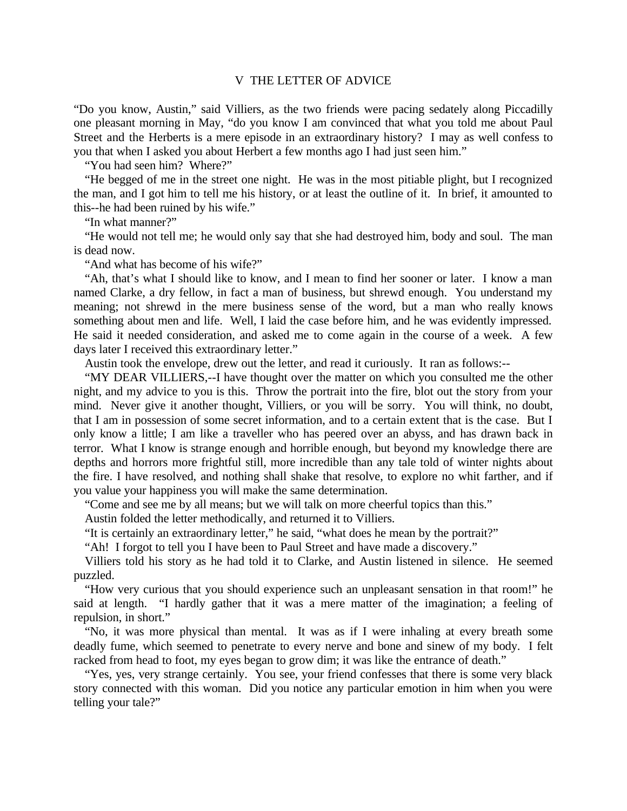#### V THE LETTER OF ADVICE

"Do you know, Austin," said Villiers, as the two friends were pacing sedately along Piccadilly one pleasant morning in May, "do you know I am convinced that what you told me about Paul Street and the Herberts is a mere episode in an extraordinary history? I may as well confess to you that when I asked you about Herbert a few months ago I had just seen him."

"You had seen him? Where?"

"He begged of me in the street one night. He was in the most pitiable plight, but I recognized the man, and I got him to tell me his history, or at least the outline of it. In brief, it amounted to this--he had been ruined by his wife."

"In what manner?"

"He would not tell me; he would only say that she had destroyed him, body and soul. The man is dead now.

"And what has become of his wife?"

"Ah, that's what I should like to know, and I mean to find her sooner or later. I know a man named Clarke, a dry fellow, in fact a man of business, but shrewd enough. You understand my meaning; not shrewd in the mere business sense of the word, but a man who really knows something about men and life. Well, I laid the case before him, and he was evidently impressed. He said it needed consideration, and asked me to come again in the course of a week. A few days later I received this extraordinary letter."

Austin took the envelope, drew out the letter, and read it curiously. It ran as follows:--

"MY DEAR VILLIERS,--I have thought over the matter on which you consulted me the other night, and my advice to you is this. Throw the portrait into the fire, blot out the story from your mind. Never give it another thought, Villiers, or you will be sorry. You will think, no doubt, that I am in possession of some secret information, and to a certain extent that is the case. But I only know a little; I am like a traveller who has peered over an abyss, and has drawn back in terror. What I know is strange enough and horrible enough, but beyond my knowledge there are depths and horrors more frightful still, more incredible than any tale told of winter nights about the fire. I have resolved, and nothing shall shake that resolve, to explore no whit farther, and if you value your happiness you will make the same determination.

"Come and see me by all means; but we will talk on more cheerful topics than this."

Austin folded the letter methodically, and returned it to Villiers.

"It is certainly an extraordinary letter," he said, "what does he mean by the portrait?"

"Ah! I forgot to tell you I have been to Paul Street and have made a discovery."

Villiers told his story as he had told it to Clarke, and Austin listened in silence. He seemed puzzled.

"How very curious that you should experience such an unpleasant sensation in that room!" he said at length. "I hardly gather that it was a mere matter of the imagination; a feeling of repulsion, in short."

"No, it was more physical than mental. It was as if I were inhaling at every breath some deadly fume, which seemed to penetrate to every nerve and bone and sinew of my body. I felt racked from head to foot, my eyes began to grow dim; it was like the entrance of death."

"Yes, yes, very strange certainly. You see, your friend confesses that there is some very black story connected with this woman. Did you notice any particular emotion in him when you were telling your tale?"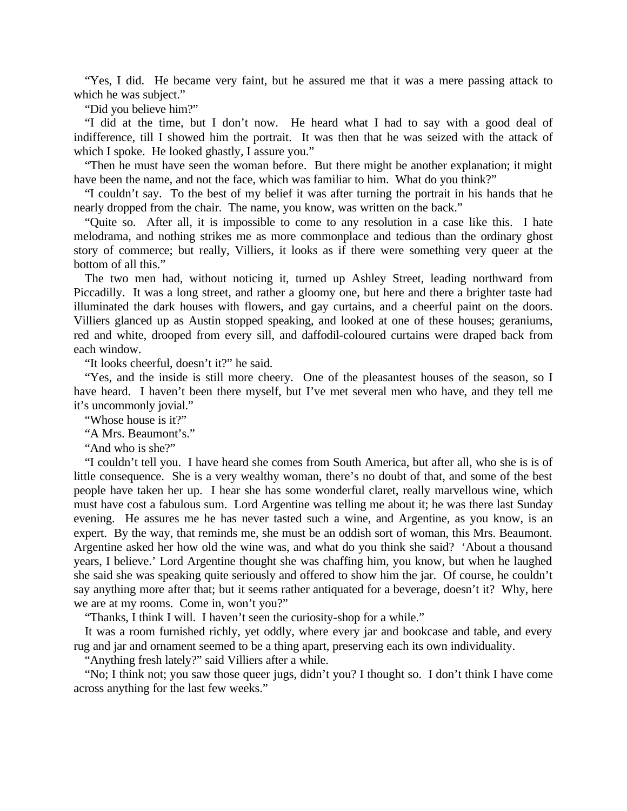"Yes, I did. He became very faint, but he assured me that it was a mere passing attack to which he was subject."

"Did you believe him?"

"I did at the time, but I don't now. He heard what I had to say with a good deal of indifference, till I showed him the portrait. It was then that he was seized with the attack of which I spoke. He looked ghastly, I assure you."

"Then he must have seen the woman before. But there might be another explanation; it might have been the name, and not the face, which was familiar to him. What do you think?"

"I couldn't say. To the best of my belief it was after turning the portrait in his hands that he nearly dropped from the chair. The name, you know, was written on the back."

"Quite so. After all, it is impossible to come to any resolution in a case like this. I hate melodrama, and nothing strikes me as more commonplace and tedious than the ordinary ghost story of commerce; but really, Villiers, it looks as if there were something very queer at the bottom of all this."

The two men had, without noticing it, turned up Ashley Street, leading northward from Piccadilly. It was a long street, and rather a gloomy one, but here and there a brighter taste had illuminated the dark houses with flowers, and gay curtains, and a cheerful paint on the doors. Villiers glanced up as Austin stopped speaking, and looked at one of these houses; geraniums, red and white, drooped from every sill, and daffodil-coloured curtains were draped back from each window.

"It looks cheerful, doesn't it?" he said.

"Yes, and the inside is still more cheery. One of the pleasantest houses of the season, so I have heard. I haven't been there myself, but I've met several men who have, and they tell me it's uncommonly jovial."

"Whose house is it?"

"A Mrs. Beaumont's."

"And who is she?"

"I couldn't tell you. I have heard she comes from South America, but after all, who she is is of little consequence. She is a very wealthy woman, there's no doubt of that, and some of the best people have taken her up. I hear she has some wonderful claret, really marvellous wine, which must have cost a fabulous sum. Lord Argentine was telling me about it; he was there last Sunday evening. He assures me he has never tasted such a wine, and Argentine, as you know, is an expert. By the way, that reminds me, she must be an oddish sort of woman, this Mrs. Beaumont. Argentine asked her how old the wine was, and what do you think she said? 'About a thousand years, I believe.' Lord Argentine thought she was chaffing him, you know, but when he laughed she said she was speaking quite seriously and offered to show him the jar. Of course, he couldn't say anything more after that; but it seems rather antiquated for a beverage, doesn't it? Why, here we are at my rooms. Come in, won't you?"

"Thanks, I think I will. I haven't seen the curiosity-shop for a while."

It was a room furnished richly, yet oddly, where every jar and bookcase and table, and every rug and jar and ornament seemed to be a thing apart, preserving each its own individuality.

"Anything fresh lately?" said Villiers after a while.

"No; I think not; you saw those queer jugs, didn't you? I thought so. I don't think I have come across anything for the last few weeks."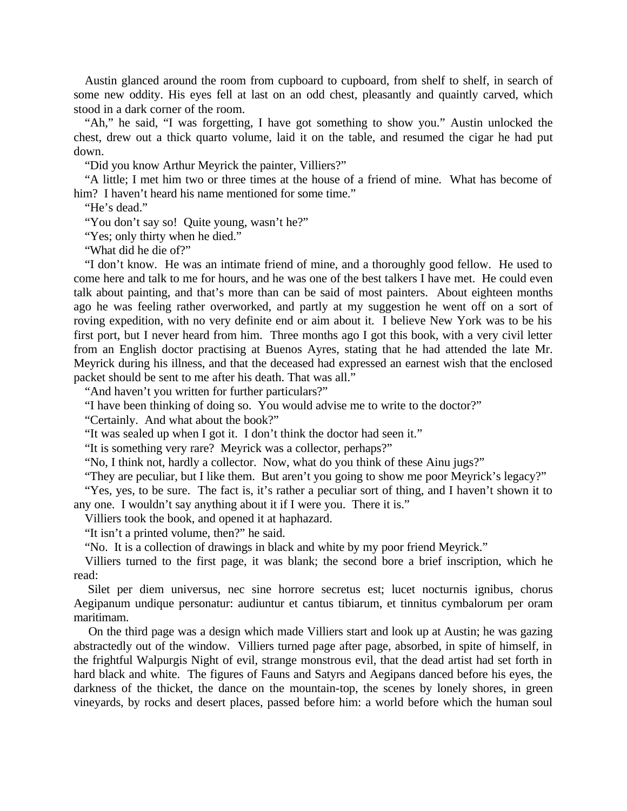Austin glanced around the room from cupboard to cupboard, from shelf to shelf, in search of some new oddity. His eyes fell at last on an odd chest, pleasantly and quaintly carved, which stood in a dark corner of the room.

"Ah," he said, "I was forgetting, I have got something to show you." Austin unlocked the chest, drew out a thick quarto volume, laid it on the table, and resumed the cigar he had put down.

"Did you know Arthur Meyrick the painter, Villiers?"

"A little; I met him two or three times at the house of a friend of mine. What has become of him? I haven't heard his name mentioned for some time."

"He's dead."

"You don't say so! Ouite young, wasn't he?"

"Yes; only thirty when he died."

"What did he die of?"

"I don't know. He was an intimate friend of mine, and a thoroughly good fellow. He used to come here and talk to me for hours, and he was one of the best talkers I have met. He could even talk about painting, and that's more than can be said of most painters. About eighteen months ago he was feeling rather overworked, and partly at my suggestion he went off on a sort of roving expedition, with no very definite end or aim about it. I believe New York was to be his first port, but I never heard from him. Three months ago I got this book, with a very civil letter from an English doctor practising at Buenos Ayres, stating that he had attended the late Mr. Meyrick during his illness, and that the deceased had expressed an earnest wish that the enclosed packet should be sent to me after his death. That was all."

"And haven't you written for further particulars?"

"I have been thinking of doing so. You would advise me to write to the doctor?"

"Certainly. And what about the book?"

"It was sealed up when I got it. I don't think the doctor had seen it."

"It is something very rare? Meyrick was a collector, perhaps?"

"No, I think not, hardly a collector. Now, what do you think of these Ainu jugs?"

"They are peculiar, but I like them. But aren't you going to show me poor Meyrick's legacy?"

"Yes, yes, to be sure. The fact is, it's rather a peculiar sort of thing, and I haven't shown it to any one. I wouldn't say anything about it if I were you. There it is."

Villiers took the book, and opened it at haphazard.

"It isn't a printed volume, then?" he said.

"No. It is a collection of drawings in black and white by my poor friend Meyrick."

Villiers turned to the first page, it was blank; the second bore a brief inscription, which he read:

 Silet per diem universus, nec sine horrore secretus est; lucet nocturnis ignibus, chorus Aegipanum undique personatur: audiuntur et cantus tibiarum, et tinnitus cymbalorum per oram maritimam.

 On the third page was a design which made Villiers start and look up at Austin; he was gazing abstractedly out of the window. Villiers turned page after page, absorbed, in spite of himself, in the frightful Walpurgis Night of evil, strange monstrous evil, that the dead artist had set forth in hard black and white. The figures of Fauns and Satyrs and Aegipans danced before his eyes, the darkness of the thicket, the dance on the mountain-top, the scenes by lonely shores, in green vineyards, by rocks and desert places, passed before him: a world before which the human soul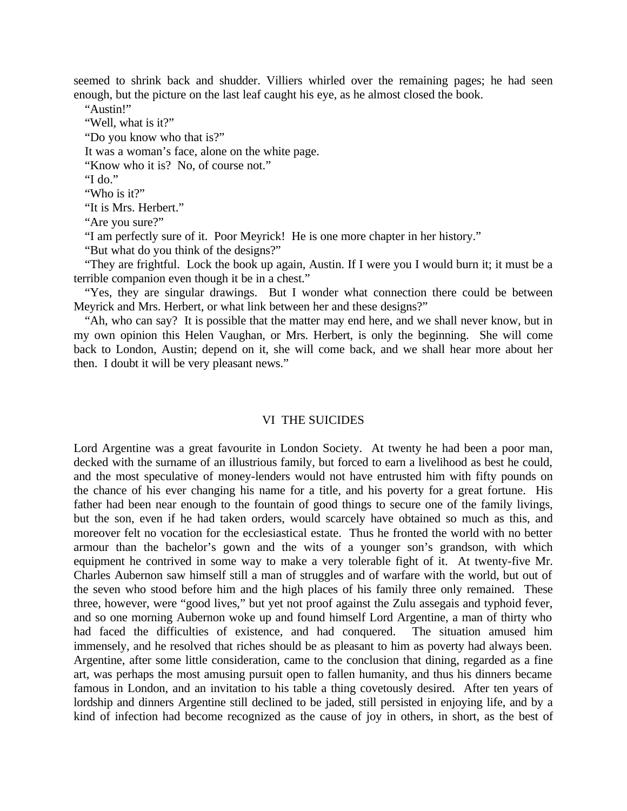seemed to shrink back and shudder. Villiers whirled over the remaining pages; he had seen enough, but the picture on the last leaf caught his eye, as he almost closed the book.

"Austin!"

"Well, what is it?"

"Do you know who that is?"

It was a woman's face, alone on the white page.

"Know who it is? No, of course not."

"I do."

"Who is it?"

"It is Mrs. Herbert."

"Are you sure?"

"I am perfectly sure of it. Poor Meyrick! He is one more chapter in her history."

"But what do you think of the designs?"

"They are frightful. Lock the book up again, Austin. If I were you I would burn it; it must be a terrible companion even though it be in a chest."

"Yes, they are singular drawings. But I wonder what connection there could be between Meyrick and Mrs. Herbert, or what link between her and these designs?"

"Ah, who can say? It is possible that the matter may end here, and we shall never know, but in my own opinion this Helen Vaughan, or Mrs. Herbert, is only the beginning. She will come back to London, Austin; depend on it, she will come back, and we shall hear more about her then. I doubt it will be very pleasant news."

#### VI THE SUICIDES

Lord Argentine was a great favourite in London Society. At twenty he had been a poor man, decked with the surname of an illustrious family, but forced to earn a livelihood as best he could, and the most speculative of money-lenders would not have entrusted him with fifty pounds on the chance of his ever changing his name for a title, and his poverty for a great fortune. His father had been near enough to the fountain of good things to secure one of the family livings, but the son, even if he had taken orders, would scarcely have obtained so much as this, and moreover felt no vocation for the ecclesiastical estate. Thus he fronted the world with no better armour than the bachelor's gown and the wits of a younger son's grandson, with which equipment he contrived in some way to make a very tolerable fight of it. At twenty-five Mr. Charles Aubernon saw himself still a man of struggles and of warfare with the world, but out of the seven who stood before him and the high places of his family three only remained. These three, however, were "good lives," but yet not proof against the Zulu assegais and typhoid fever, and so one morning Aubernon woke up and found himself Lord Argentine, a man of thirty who had faced the difficulties of existence, and had conquered. The situation amused him immensely, and he resolved that riches should be as pleasant to him as poverty had always been. Argentine, after some little consideration, came to the conclusion that dining, regarded as a fine art, was perhaps the most amusing pursuit open to fallen humanity, and thus his dinners became famous in London, and an invitation to his table a thing covetously desired. After ten years of lordship and dinners Argentine still declined to be jaded, still persisted in enjoying life, and by a kind of infection had become recognized as the cause of joy in others, in short, as the best of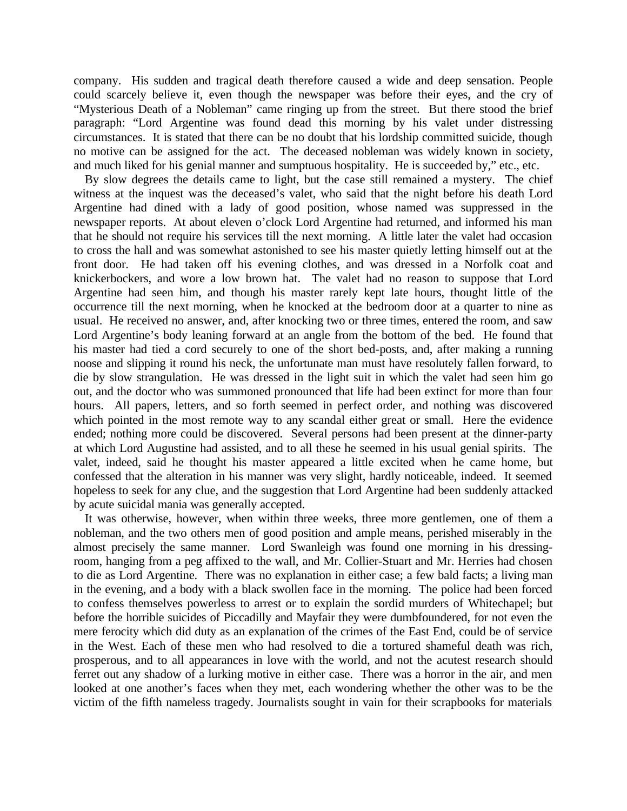company. His sudden and tragical death therefore caused a wide and deep sensation. People could scarcely believe it, even though the newspaper was before their eyes, and the cry of "Mysterious Death of a Nobleman" came ringing up from the street. But there stood the brief paragraph: "Lord Argentine was found dead this morning by his valet under distressing circumstances. It is stated that there can be no doubt that his lordship committed suicide, though no motive can be assigned for the act. The deceased nobleman was widely known in society, and much liked for his genial manner and sumptuous hospitality. He is succeeded by," etc., etc.

By slow degrees the details came to light, but the case still remained a mystery. The chief witness at the inquest was the deceased's valet, who said that the night before his death Lord Argentine had dined with a lady of good position, whose named was suppressed in the newspaper reports. At about eleven o'clock Lord Argentine had returned, and informed his man that he should not require his services till the next morning. A little later the valet had occasion to cross the hall and was somewhat astonished to see his master quietly letting himself out at the front door. He had taken off his evening clothes, and was dressed in a Norfolk coat and knickerbockers, and wore a low brown hat. The valet had no reason to suppose that Lord Argentine had seen him, and though his master rarely kept late hours, thought little of the occurrence till the next morning, when he knocked at the bedroom door at a quarter to nine as usual. He received no answer, and, after knocking two or three times, entered the room, and saw Lord Argentine's body leaning forward at an angle from the bottom of the bed. He found that his master had tied a cord securely to one of the short bed-posts, and, after making a running noose and slipping it round his neck, the unfortunate man must have resolutely fallen forward, to die by slow strangulation. He was dressed in the light suit in which the valet had seen him go out, and the doctor who was summoned pronounced that life had been extinct for more than four hours. All papers, letters, and so forth seemed in perfect order, and nothing was discovered which pointed in the most remote way to any scandal either great or small. Here the evidence ended; nothing more could be discovered. Several persons had been present at the dinner-party at which Lord Augustine had assisted, and to all these he seemed in his usual genial spirits. The valet, indeed, said he thought his master appeared a little excited when he came home, but confessed that the alteration in his manner was very slight, hardly noticeable, indeed. It seemed hopeless to seek for any clue, and the suggestion that Lord Argentine had been suddenly attacked by acute suicidal mania was generally accepted.

It was otherwise, however, when within three weeks, three more gentlemen, one of them a nobleman, and the two others men of good position and ample means, perished miserably in the almost precisely the same manner. Lord Swanleigh was found one morning in his dressingroom, hanging from a peg affixed to the wall, and Mr. Collier-Stuart and Mr. Herries had chosen to die as Lord Argentine. There was no explanation in either case; a few bald facts; a living man in the evening, and a body with a black swollen face in the morning. The police had been forced to confess themselves powerless to arrest or to explain the sordid murders of Whitechapel; but before the horrible suicides of Piccadilly and Mayfair they were dumbfoundered, for not even the mere ferocity which did duty as an explanation of the crimes of the East End, could be of service in the West. Each of these men who had resolved to die a tortured shameful death was rich, prosperous, and to all appearances in love with the world, and not the acutest research should ferret out any shadow of a lurking motive in either case. There was a horror in the air, and men looked at one another's faces when they met, each wondering whether the other was to be the victim of the fifth nameless tragedy. Journalists sought in vain for their scrapbooks for materials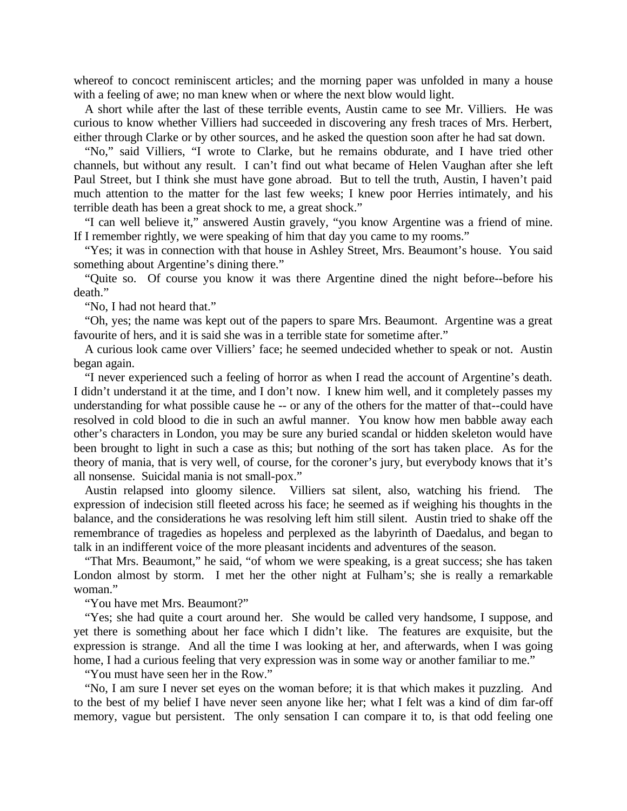whereof to concoct reminiscent articles; and the morning paper was unfolded in many a house with a feeling of awe; no man knew when or where the next blow would light.

A short while after the last of these terrible events, Austin came to see Mr. Villiers. He was curious to know whether Villiers had succeeded in discovering any fresh traces of Mrs. Herbert, either through Clarke or by other sources, and he asked the question soon after he had sat down.

"No," said Villiers, "I wrote to Clarke, but he remains obdurate, and I have tried other channels, but without any result. I can't find out what became of Helen Vaughan after she left Paul Street, but I think she must have gone abroad. But to tell the truth, Austin, I haven't paid much attention to the matter for the last few weeks; I knew poor Herries intimately, and his terrible death has been a great shock to me, a great shock."

"I can well believe it," answered Austin gravely, "you know Argentine was a friend of mine. If I remember rightly, we were speaking of him that day you came to my rooms."

"Yes; it was in connection with that house in Ashley Street, Mrs. Beaumont's house. You said something about Argentine's dining there."

"Quite so. Of course you know it was there Argentine dined the night before--before his death."

"No, I had not heard that."

"Oh, yes; the name was kept out of the papers to spare Mrs. Beaumont. Argentine was a great favourite of hers, and it is said she was in a terrible state for sometime after."

A curious look came over Villiers' face; he seemed undecided whether to speak or not. Austin began again.

"I never experienced such a feeling of horror as when I read the account of Argentine's death. I didn't understand it at the time, and I don't now. I knew him well, and it completely passes my understanding for what possible cause he -- or any of the others for the matter of that--could have resolved in cold blood to die in such an awful manner. You know how men babble away each other's characters in London, you may be sure any buried scandal or hidden skeleton would have been brought to light in such a case as this; but nothing of the sort has taken place. As for the theory of mania, that is very well, of course, for the coroner's jury, but everybody knows that it's all nonsense. Suicidal mania is not small-pox."

Austin relapsed into gloomy silence. Villiers sat silent, also, watching his friend. The expression of indecision still fleeted across his face; he seemed as if weighing his thoughts in the balance, and the considerations he was resolving left him still silent. Austin tried to shake off the remembrance of tragedies as hopeless and perplexed as the labyrinth of Daedalus, and began to talk in an indifferent voice of the more pleasant incidents and adventures of the season.

"That Mrs. Beaumont," he said, "of whom we were speaking, is a great success; she has taken London almost by storm. I met her the other night at Fulham's; she is really a remarkable woman."

"You have met Mrs. Beaumont?"

"Yes; she had quite a court around her. She would be called very handsome, I suppose, and yet there is something about her face which I didn't like. The features are exquisite, but the expression is strange. And all the time I was looking at her, and afterwards, when I was going home, I had a curious feeling that very expression was in some way or another familiar to me."

"You must have seen her in the Row."

"No, I am sure I never set eyes on the woman before; it is that which makes it puzzling. And to the best of my belief I have never seen anyone like her; what I felt was a kind of dim far-off memory, vague but persistent. The only sensation I can compare it to, is that odd feeling one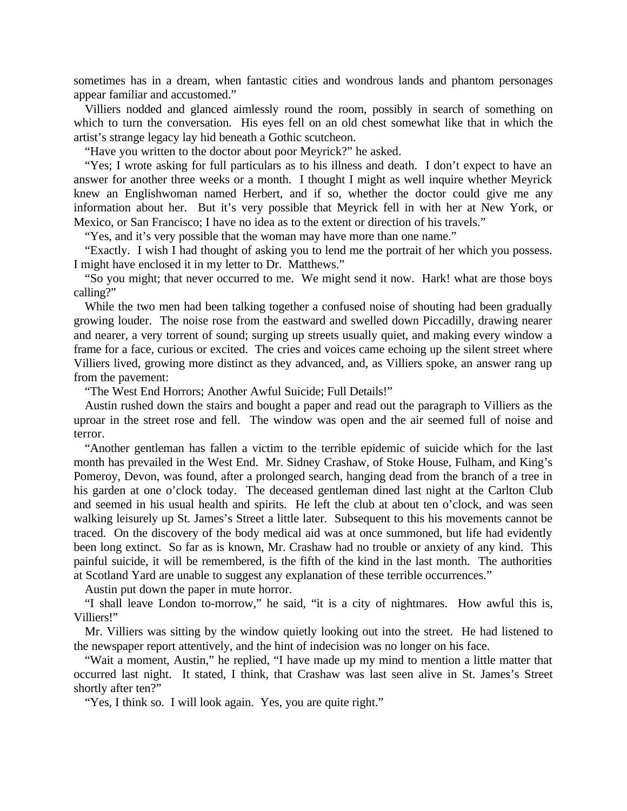sometimes has in a dream, when fantastic cities and wondrous lands and phantom personages appear familiar and accustomed."

Villiers nodded and glanced aimlessly round the room, possibly in search of something on which to turn the conversation. His eyes fell on an old chest somewhat like that in which the artist's strange legacy lay hid beneath a Gothic scutcheon.

"Have you written to the doctor about poor Meyrick?" he asked.

"Yes; I wrote asking for full particulars as to his illness and death. I don't expect to have an answer for another three weeks or a month. I thought I might as well inquire whether Meyrick knew an Englishwoman named Herbert, and if so, whether the doctor could give me any information about her. But it's very possible that Meyrick fell in with her at New York, or Mexico, or San Francisco; I have no idea as to the extent or direction of his travels."

"Yes, and it's very possible that the woman may have more than one name."

"Exactly. I wish I had thought of asking you to lend me the portrait of her which you possess. I might have enclosed it in my letter to Dr. Matthews."

"So you might; that never occurred to me. We might send it now. Hark! what are those boys calling?"

While the two men had been talking together a confused noise of shouting had been gradually growing louder. The noise rose from the eastward and swelled down Piccadilly, drawing nearer and nearer, a very torrent of sound; surging up streets usually quiet, and making every window a frame for a face, curious or excited. The cries and voices came echoing up the silent street where Villiers lived, growing more distinct as they advanced, and, as Villiers spoke, an answer rang up from the pavement:

"The West End Horrors; Another Awful Suicide; Full Details!"

Austin rushed down the stairs and bought a paper and read out the paragraph to Villiers as the uproar in the street rose and fell. The window was open and the air seemed full of noise and terror.

"Another gentleman has fallen a victim to the terrible epidemic of suicide which for the last month has prevailed in the West End. Mr. Sidney Crashaw, of Stoke House, Fulham, and King's Pomeroy, Devon, was found, after a prolonged search, hanging dead from the branch of a tree in his garden at one o'clock today. The deceased gentleman dined last night at the Carlton Club and seemed in his usual health and spirits. He left the club at about ten o'clock, and was seen walking leisurely up St. James's Street a little later. Subsequent to this his movements cannot be traced. On the discovery of the body medical aid was at once summoned, but life had evidently been long extinct. So far as is known, Mr. Crashaw had no trouble or anxiety of any kind. This painful suicide, it will be remembered, is the fifth of the kind in the last month. The authorities at Scotland Yard are unable to suggest any explanation of these terrible occurrences."

Austin put down the paper in mute horror.

"I shall leave London to-morrow," he said, "it is a city of nightmares. How awful this is, Villiers!"

Mr. Villiers was sitting by the window quietly looking out into the street. He had listened to the newspaper report attentively, and the hint of indecision was no longer on his face.

"Wait a moment, Austin," he replied, "I have made up my mind to mention a little matter that occurred last night. It stated, I think, that Crashaw was last seen alive in St. James's Street shortly after ten?"

"Yes, I think so. I will look again. Yes, you are quite right."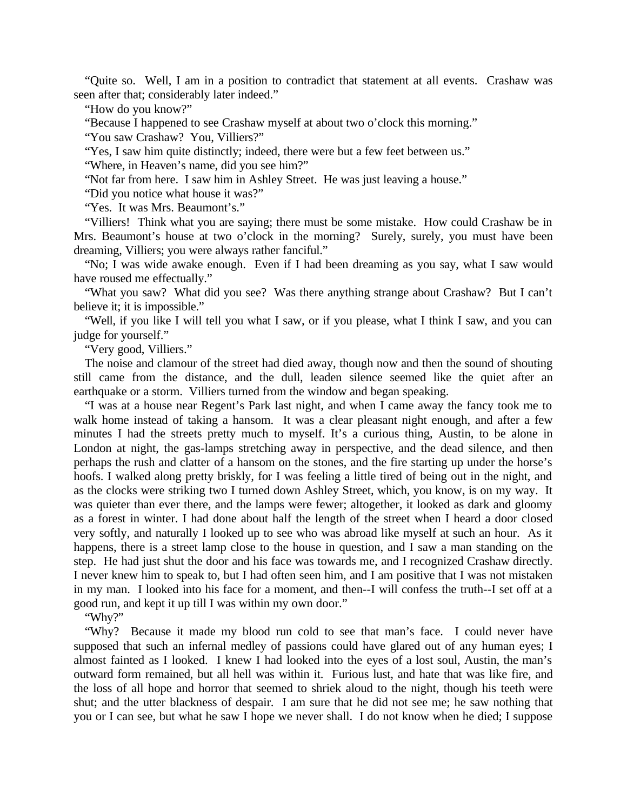"Quite so. Well, I am in a position to contradict that statement at all events. Crashaw was seen after that; considerably later indeed."

"How do you know?"

"Because I happened to see Crashaw myself at about two o'clock this morning."

"You saw Crashaw? You, Villiers?"

"Yes, I saw him quite distinctly; indeed, there were but a few feet between us."

"Where, in Heaven's name, did you see him?"

"Not far from here. I saw him in Ashley Street. He was just leaving a house."

"Did you notice what house it was?"

"Yes. It was Mrs. Beaumont's."

"Villiers! Think what you are saying; there must be some mistake. How could Crashaw be in Mrs. Beaumont's house at two o'clock in the morning? Surely, surely, you must have been dreaming, Villiers; you were always rather fanciful."

"No; I was wide awake enough. Even if I had been dreaming as you say, what I saw would have roused me effectually."

"What you saw? What did you see? Was there anything strange about Crashaw? But I can't believe it; it is impossible."

"Well, if you like I will tell you what I saw, or if you please, what I think I saw, and you can judge for yourself."

"Very good, Villiers."

The noise and clamour of the street had died away, though now and then the sound of shouting still came from the distance, and the dull, leaden silence seemed like the quiet after an earthquake or a storm. Villiers turned from the window and began speaking.

"I was at a house near Regent's Park last night, and when I came away the fancy took me to walk home instead of taking a hansom. It was a clear pleasant night enough, and after a few minutes I had the streets pretty much to myself. It's a curious thing, Austin, to be alone in London at night, the gas-lamps stretching away in perspective, and the dead silence, and then perhaps the rush and clatter of a hansom on the stones, and the fire starting up under the horse's hoofs. I walked along pretty briskly, for I was feeling a little tired of being out in the night, and as the clocks were striking two I turned down Ashley Street, which, you know, is on my way. It was quieter than ever there, and the lamps were fewer; altogether, it looked as dark and gloomy as a forest in winter. I had done about half the length of the street when I heard a door closed very softly, and naturally I looked up to see who was abroad like myself at such an hour. As it happens, there is a street lamp close to the house in question, and I saw a man standing on the step. He had just shut the door and his face was towards me, and I recognized Crashaw directly. I never knew him to speak to, but I had often seen him, and I am positive that I was not mistaken in my man. I looked into his face for a moment, and then--I will confess the truth--I set off at a good run, and kept it up till I was within my own door."

"Why?"

"Why? Because it made my blood run cold to see that man's face. I could never have supposed that such an infernal medley of passions could have glared out of any human eyes; I almost fainted as I looked. I knew I had looked into the eyes of a lost soul, Austin, the man's outward form remained, but all hell was within it. Furious lust, and hate that was like fire, and the loss of all hope and horror that seemed to shriek aloud to the night, though his teeth were shut; and the utter blackness of despair. I am sure that he did not see me; he saw nothing that you or I can see, but what he saw I hope we never shall. I do not know when he died; I suppose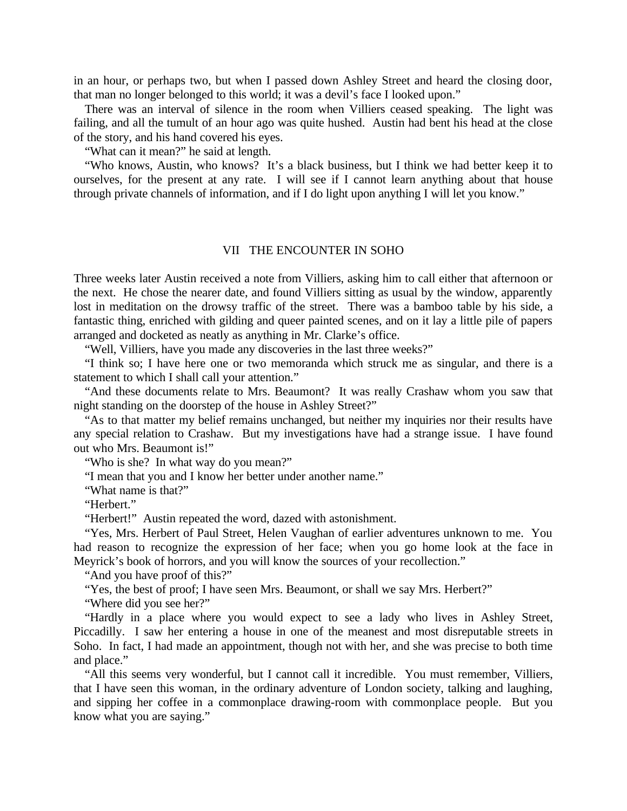in an hour, or perhaps two, but when I passed down Ashley Street and heard the closing door, that man no longer belonged to this world; it was a devil's face I looked upon."

There was an interval of silence in the room when Villiers ceased speaking. The light was failing, and all the tumult of an hour ago was quite hushed. Austin had bent his head at the close of the story, and his hand covered his eyes.

"What can it mean?" he said at length.

"Who knows, Austin, who knows? It's a black business, but I think we had better keep it to ourselves, for the present at any rate. I will see if I cannot learn anything about that house through private channels of information, and if I do light upon anything I will let you know."

## VII THE ENCOUNTER IN SOHO

Three weeks later Austin received a note from Villiers, asking him to call either that afternoon or the next. He chose the nearer date, and found Villiers sitting as usual by the window, apparently lost in meditation on the drowsy traffic of the street. There was a bamboo table by his side, a fantastic thing, enriched with gilding and queer painted scenes, and on it lay a little pile of papers arranged and docketed as neatly as anything in Mr. Clarke's office.

"Well, Villiers, have you made any discoveries in the last three weeks?"

"I think so; I have here one or two memoranda which struck me as singular, and there is a statement to which I shall call your attention."

"And these documents relate to Mrs. Beaumont? It was really Crashaw whom you saw that night standing on the doorstep of the house in Ashley Street?"

"As to that matter my belief remains unchanged, but neither my inquiries nor their results have any special relation to Crashaw. But my investigations have had a strange issue. I have found out who Mrs. Beaumont is!"

"Who is she? In what way do you mean?"

"I mean that you and I know her better under another name."

"What name is that?"

"Herbert."

"Herbert!" Austin repeated the word, dazed with astonishment.

"Yes, Mrs. Herbert of Paul Street, Helen Vaughan of earlier adventures unknown to me. You had reason to recognize the expression of her face; when you go home look at the face in Meyrick's book of horrors, and you will know the sources of your recollection."

"And you have proof of this?"

"Yes, the best of proof; I have seen Mrs. Beaumont, or shall we say Mrs. Herbert?"

"Where did you see her?"

"Hardly in a place where you would expect to see a lady who lives in Ashley Street, Piccadilly. I saw her entering a house in one of the meanest and most disreputable streets in Soho. In fact, I had made an appointment, though not with her, and she was precise to both time and place."

"All this seems very wonderful, but I cannot call it incredible. You must remember, Villiers, that I have seen this woman, in the ordinary adventure of London society, talking and laughing, and sipping her coffee in a commonplace drawing-room with commonplace people. But you know what you are saying."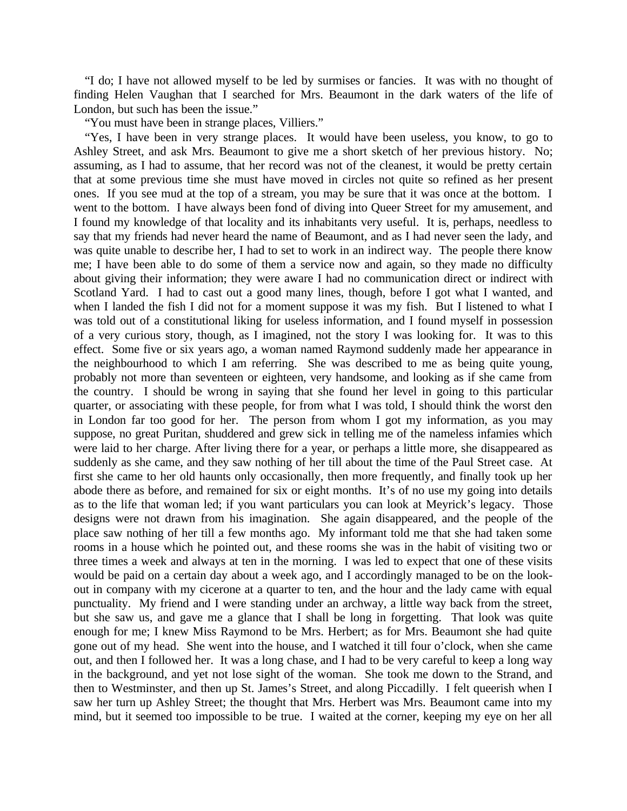"I do; I have not allowed myself to be led by surmises or fancies. It was with no thought of finding Helen Vaughan that I searched for Mrs. Beaumont in the dark waters of the life of London, but such has been the issue."

"You must have been in strange places, Villiers."

"Yes, I have been in very strange places. It would have been useless, you know, to go to Ashley Street, and ask Mrs. Beaumont to give me a short sketch of her previous history. No; assuming, as I had to assume, that her record was not of the cleanest, it would be pretty certain that at some previous time she must have moved in circles not quite so refined as her present ones. If you see mud at the top of a stream, you may be sure that it was once at the bottom. I went to the bottom. I have always been fond of diving into Queer Street for my amusement, and I found my knowledge of that locality and its inhabitants very useful. It is, perhaps, needless to say that my friends had never heard the name of Beaumont, and as I had never seen the lady, and was quite unable to describe her, I had to set to work in an indirect way. The people there know me; I have been able to do some of them a service now and again, so they made no difficulty about giving their information; they were aware I had no communication direct or indirect with Scotland Yard. I had to cast out a good many lines, though, before I got what I wanted, and when I landed the fish I did not for a moment suppose it was my fish. But I listened to what I was told out of a constitutional liking for useless information, and I found myself in possession of a very curious story, though, as I imagined, not the story I was looking for. It was to this effect. Some five or six years ago, a woman named Raymond suddenly made her appearance in the neighbourhood to which I am referring. She was described to me as being quite young, probably not more than seventeen or eighteen, very handsome, and looking as if she came from the country. I should be wrong in saying that she found her level in going to this particular quarter, or associating with these people, for from what I was told, I should think the worst den in London far too good for her. The person from whom I got my information, as you may suppose, no great Puritan, shuddered and grew sick in telling me of the nameless infamies which were laid to her charge. After living there for a year, or perhaps a little more, she disappeared as suddenly as she came, and they saw nothing of her till about the time of the Paul Street case. At first she came to her old haunts only occasionally, then more frequently, and finally took up her abode there as before, and remained for six or eight months. It's of no use my going into details as to the life that woman led; if you want particulars you can look at Meyrick's legacy. Those designs were not drawn from his imagination. She again disappeared, and the people of the place saw nothing of her till a few months ago. My informant told me that she had taken some rooms in a house which he pointed out, and these rooms she was in the habit of visiting two or three times a week and always at ten in the morning. I was led to expect that one of these visits would be paid on a certain day about a week ago, and I accordingly managed to be on the lookout in company with my cicerone at a quarter to ten, and the hour and the lady came with equal punctuality. My friend and I were standing under an archway, a little way back from the street, but she saw us, and gave me a glance that I shall be long in forgetting. That look was quite enough for me; I knew Miss Raymond to be Mrs. Herbert; as for Mrs. Beaumont she had quite gone out of my head. She went into the house, and I watched it till four o'clock, when she came out, and then I followed her. It was a long chase, and I had to be very careful to keep a long way in the background, and yet not lose sight of the woman. She took me down to the Strand, and then to Westminster, and then up St. James's Street, and along Piccadilly. I felt queerish when I saw her turn up Ashley Street; the thought that Mrs. Herbert was Mrs. Beaumont came into my mind, but it seemed too impossible to be true. I waited at the corner, keeping my eye on her all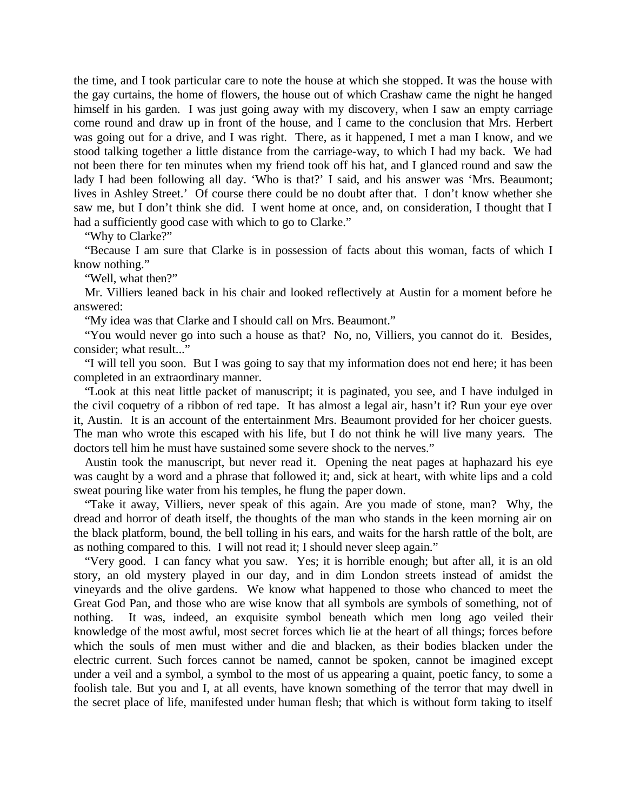the time, and I took particular care to note the house at which she stopped. It was the house with the gay curtains, the home of flowers, the house out of which Crashaw came the night he hanged himself in his garden. I was just going away with my discovery, when I saw an empty carriage come round and draw up in front of the house, and I came to the conclusion that Mrs. Herbert was going out for a drive, and I was right. There, as it happened, I met a man I know, and we stood talking together a little distance from the carriage-way, to which I had my back. We had not been there for ten minutes when my friend took off his hat, and I glanced round and saw the lady I had been following all day. 'Who is that?' I said, and his answer was 'Mrs. Beaumont; lives in Ashley Street.' Of course there could be no doubt after that. I don't know whether she saw me, but I don't think she did. I went home at once, and, on consideration, I thought that I had a sufficiently good case with which to go to Clarke."

"Why to Clarke?"

"Because I am sure that Clarke is in possession of facts about this woman, facts of which I know nothing."

"Well, what then?"

Mr. Villiers leaned back in his chair and looked reflectively at Austin for a moment before he answered:

"My idea was that Clarke and I should call on Mrs. Beaumont."

"You would never go into such a house as that? No, no, Villiers, you cannot do it. Besides, consider; what result..."

"I will tell you soon. But I was going to say that my information does not end here; it has been completed in an extraordinary manner.

"Look at this neat little packet of manuscript; it is paginated, you see, and I have indulged in the civil coquetry of a ribbon of red tape. It has almost a legal air, hasn't it? Run your eye over it, Austin. It is an account of the entertainment Mrs. Beaumont provided for her choicer guests. The man who wrote this escaped with his life, but I do not think he will live many years. The doctors tell him he must have sustained some severe shock to the nerves."

Austin took the manuscript, but never read it. Opening the neat pages at haphazard his eye was caught by a word and a phrase that followed it; and, sick at heart, with white lips and a cold sweat pouring like water from his temples, he flung the paper down.

"Take it away, Villiers, never speak of this again. Are you made of stone, man? Why, the dread and horror of death itself, the thoughts of the man who stands in the keen morning air on the black platform, bound, the bell tolling in his ears, and waits for the harsh rattle of the bolt, are as nothing compared to this. I will not read it; I should never sleep again."

"Very good. I can fancy what you saw. Yes; it is horrible enough; but after all, it is an old story, an old mystery played in our day, and in dim London streets instead of amidst the vineyards and the olive gardens. We know what happened to those who chanced to meet the Great God Pan, and those who are wise know that all symbols are symbols of something, not of nothing. It was, indeed, an exquisite symbol beneath which men long ago veiled their knowledge of the most awful, most secret forces which lie at the heart of all things; forces before which the souls of men must wither and die and blacken, as their bodies blacken under the electric current. Such forces cannot be named, cannot be spoken, cannot be imagined except under a veil and a symbol, a symbol to the most of us appearing a quaint, poetic fancy, to some a foolish tale. But you and I, at all events, have known something of the terror that may dwell in the secret place of life, manifested under human flesh; that which is without form taking to itself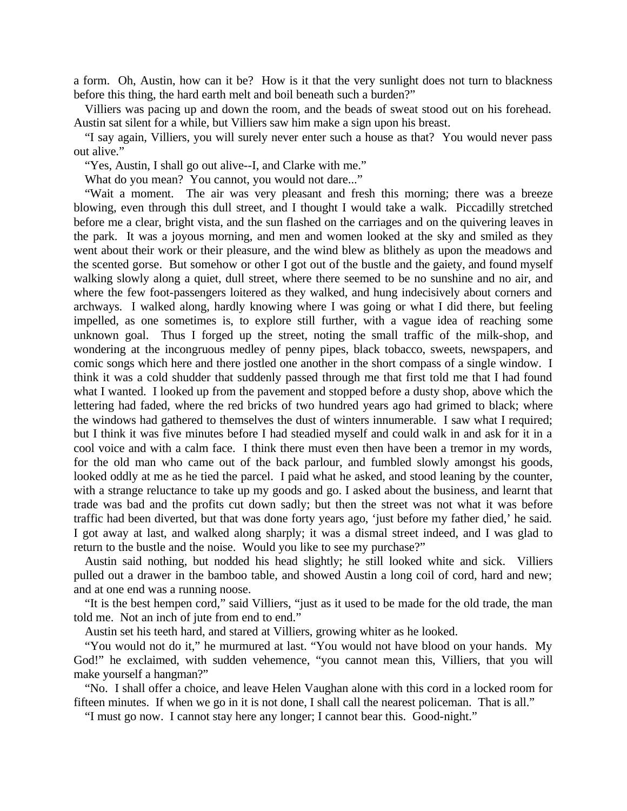a form. Oh, Austin, how can it be? How is it that the very sunlight does not turn to blackness before this thing, the hard earth melt and boil beneath such a burden?"

Villiers was pacing up and down the room, and the beads of sweat stood out on his forehead. Austin sat silent for a while, but Villiers saw him make a sign upon his breast.

"I say again, Villiers, you will surely never enter such a house as that? You would never pass out alive."

"Yes, Austin, I shall go out alive--I, and Clarke with me."

What do you mean? You cannot, you would not dare..."

"Wait a moment. The air was very pleasant and fresh this morning; there was a breeze blowing, even through this dull street, and I thought I would take a walk. Piccadilly stretched before me a clear, bright vista, and the sun flashed on the carriages and on the quivering leaves in the park. It was a joyous morning, and men and women looked at the sky and smiled as they went about their work or their pleasure, and the wind blew as blithely as upon the meadows and the scented gorse. But somehow or other I got out of the bustle and the gaiety, and found myself walking slowly along a quiet, dull street, where there seemed to be no sunshine and no air, and where the few foot-passengers loitered as they walked, and hung indecisively about corners and archways. I walked along, hardly knowing where I was going or what I did there, but feeling impelled, as one sometimes is, to explore still further, with a vague idea of reaching some unknown goal. Thus I forged up the street, noting the small traffic of the milk-shop, and wondering at the incongruous medley of penny pipes, black tobacco, sweets, newspapers, and comic songs which here and there jostled one another in the short compass of a single window. I think it was a cold shudder that suddenly passed through me that first told me that I had found what I wanted. I looked up from the pavement and stopped before a dusty shop, above which the lettering had faded, where the red bricks of two hundred years ago had grimed to black; where the windows had gathered to themselves the dust of winters innumerable. I saw what I required; but I think it was five minutes before I had steadied myself and could walk in and ask for it in a cool voice and with a calm face. I think there must even then have been a tremor in my words, for the old man who came out of the back parlour, and fumbled slowly amongst his goods, looked oddly at me as he tied the parcel. I paid what he asked, and stood leaning by the counter, with a strange reluctance to take up my goods and go. I asked about the business, and learnt that trade was bad and the profits cut down sadly; but then the street was not what it was before traffic had been diverted, but that was done forty years ago, 'just before my father died,' he said. I got away at last, and walked along sharply; it was a dismal street indeed, and I was glad to return to the bustle and the noise. Would you like to see my purchase?"

Austin said nothing, but nodded his head slightly; he still looked white and sick. Villiers pulled out a drawer in the bamboo table, and showed Austin a long coil of cord, hard and new; and at one end was a running noose.

"It is the best hempen cord," said Villiers, "just as it used to be made for the old trade, the man told me. Not an inch of jute from end to end."

Austin set his teeth hard, and stared at Villiers, growing whiter as he looked.

"You would not do it," he murmured at last. "You would not have blood on your hands. My God!" he exclaimed, with sudden vehemence, "you cannot mean this, Villiers, that you will make yourself a hangman?"

"No. I shall offer a choice, and leave Helen Vaughan alone with this cord in a locked room for fifteen minutes. If when we go in it is not done, I shall call the nearest policeman. That is all."

"I must go now. I cannot stay here any longer; I cannot bear this. Good-night."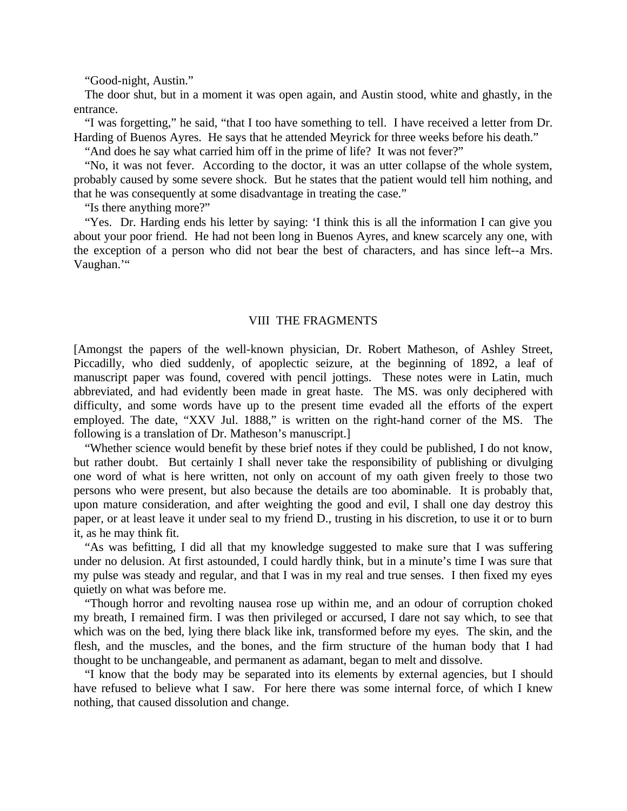"Good-night, Austin."

The door shut, but in a moment it was open again, and Austin stood, white and ghastly, in the entrance.

"I was forgetting," he said, "that I too have something to tell. I have received a letter from Dr. Harding of Buenos Ayres. He says that he attended Meyrick for three weeks before his death."

"And does he say what carried him off in the prime of life? It was not fever?"

"No, it was not fever. According to the doctor, it was an utter collapse of the whole system, probably caused by some severe shock. But he states that the patient would tell him nothing, and that he was consequently at some disadvantage in treating the case."

"Is there anything more?"

"Yes. Dr. Harding ends his letter by saying: 'I think this is all the information I can give you about your poor friend. He had not been long in Buenos Ayres, and knew scarcely any one, with the exception of a person who did not bear the best of characters, and has since left--a Mrs. Vaughan.'"

## VIII THE FRAGMENTS

[Amongst the papers of the well-known physician, Dr. Robert Matheson, of Ashley Street, Piccadilly, who died suddenly, of apoplectic seizure, at the beginning of 1892, a leaf of manuscript paper was found, covered with pencil jottings. These notes were in Latin, much abbreviated, and had evidently been made in great haste. The MS. was only deciphered with difficulty, and some words have up to the present time evaded all the efforts of the expert employed. The date, "XXV Jul. 1888," is written on the right-hand corner of the MS. The following is a translation of Dr. Matheson's manuscript.]

"Whether science would benefit by these brief notes if they could be published, I do not know, but rather doubt. But certainly I shall never take the responsibility of publishing or divulging one word of what is here written, not only on account of my oath given freely to those two persons who were present, but also because the details are too abominable. It is probably that, upon mature consideration, and after weighting the good and evil, I shall one day destroy this paper, or at least leave it under seal to my friend D., trusting in his discretion, to use it or to burn it, as he may think fit.

"As was befitting, I did all that my knowledge suggested to make sure that I was suffering under no delusion. At first astounded, I could hardly think, but in a minute's time I was sure that my pulse was steady and regular, and that I was in my real and true senses. I then fixed my eyes quietly on what was before me.

"Though horror and revolting nausea rose up within me, and an odour of corruption choked my breath, I remained firm. I was then privileged or accursed, I dare not say which, to see that which was on the bed, lying there black like ink, transformed before my eyes. The skin, and the flesh, and the muscles, and the bones, and the firm structure of the human body that I had thought to be unchangeable, and permanent as adamant, began to melt and dissolve.

"I know that the body may be separated into its elements by external agencies, but I should have refused to believe what I saw. For here there was some internal force, of which I knew nothing, that caused dissolution and change.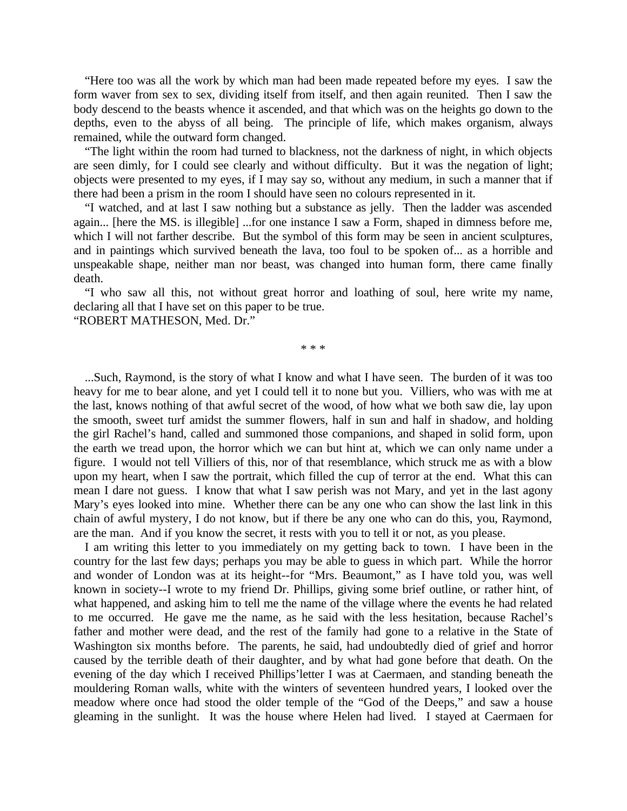"Here too was all the work by which man had been made repeated before my eyes. I saw the form waver from sex to sex, dividing itself from itself, and then again reunited. Then I saw the body descend to the beasts whence it ascended, and that which was on the heights go down to the depths, even to the abyss of all being. The principle of life, which makes organism, always remained, while the outward form changed.

"The light within the room had turned to blackness, not the darkness of night, in which objects are seen dimly, for I could see clearly and without difficulty. But it was the negation of light; objects were presented to my eyes, if I may say so, without any medium, in such a manner that if there had been a prism in the room I should have seen no colours represented in it.

"I watched, and at last I saw nothing but a substance as jelly. Then the ladder was ascended again... [here the MS. is illegible] ...for one instance I saw a Form, shaped in dimness before me, which I will not farther describe. But the symbol of this form may be seen in ancient sculptures, and in paintings which survived beneath the lava, too foul to be spoken of... as a horrible and unspeakable shape, neither man nor beast, was changed into human form, there came finally death.

"I who saw all this, not without great horror and loathing of soul, here write my name, declaring all that I have set on this paper to be true.

"ROBERT MATHESON, Med. Dr."

\* \* \*

...Such, Raymond, is the story of what I know and what I have seen. The burden of it was too heavy for me to bear alone, and yet I could tell it to none but you. Villiers, who was with me at the last, knows nothing of that awful secret of the wood, of how what we both saw die, lay upon the smooth, sweet turf amidst the summer flowers, half in sun and half in shadow, and holding the girl Rachel's hand, called and summoned those companions, and shaped in solid form, upon the earth we tread upon, the horror which we can but hint at, which we can only name under a figure. I would not tell Villiers of this, nor of that resemblance, which struck me as with a blow upon my heart, when I saw the portrait, which filled the cup of terror at the end. What this can mean I dare not guess. I know that what I saw perish was not Mary, and yet in the last agony Mary's eyes looked into mine. Whether there can be any one who can show the last link in this chain of awful mystery, I do not know, but if there be any one who can do this, you, Raymond, are the man. And if you know the secret, it rests with you to tell it or not, as you please.

I am writing this letter to you immediately on my getting back to town. I have been in the country for the last few days; perhaps you may be able to guess in which part. While the horror and wonder of London was at its height--for "Mrs. Beaumont," as I have told you, was well known in society--I wrote to my friend Dr. Phillips, giving some brief outline, or rather hint, of what happened, and asking him to tell me the name of the village where the events he had related to me occurred. He gave me the name, as he said with the less hesitation, because Rachel's father and mother were dead, and the rest of the family had gone to a relative in the State of Washington six months before. The parents, he said, had undoubtedly died of grief and horror caused by the terrible death of their daughter, and by what had gone before that death. On the evening of the day which I received Phillips'letter I was at Caermaen, and standing beneath the mouldering Roman walls, white with the winters of seventeen hundred years, I looked over the meadow where once had stood the older temple of the "God of the Deeps," and saw a house gleaming in the sunlight. It was the house where Helen had lived. I stayed at Caermaen for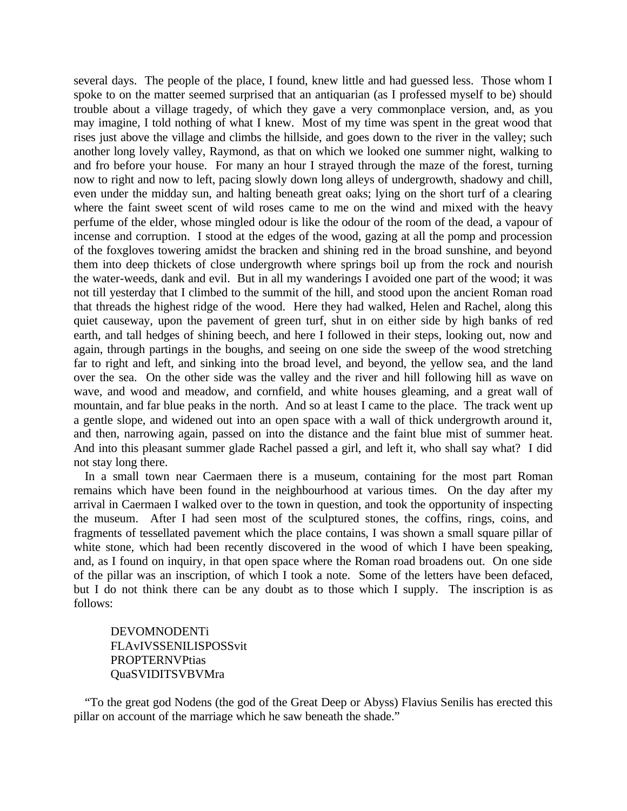several days. The people of the place, I found, knew little and had guessed less. Those whom I spoke to on the matter seemed surprised that an antiquarian (as I professed myself to be) should trouble about a village tragedy, of which they gave a very commonplace version, and, as you may imagine, I told nothing of what I knew. Most of my time was spent in the great wood that rises just above the village and climbs the hillside, and goes down to the river in the valley; such another long lovely valley, Raymond, as that on which we looked one summer night, walking to and fro before your house. For many an hour I strayed through the maze of the forest, turning now to right and now to left, pacing slowly down long alleys of undergrowth, shadowy and chill, even under the midday sun, and halting beneath great oaks; lying on the short turf of a clearing where the faint sweet scent of wild roses came to me on the wind and mixed with the heavy perfume of the elder, whose mingled odour is like the odour of the room of the dead, a vapour of incense and corruption. I stood at the edges of the wood, gazing at all the pomp and procession of the foxgloves towering amidst the bracken and shining red in the broad sunshine, and beyond them into deep thickets of close undergrowth where springs boil up from the rock and nourish the water-weeds, dank and evil. But in all my wanderings I avoided one part of the wood; it was not till yesterday that I climbed to the summit of the hill, and stood upon the ancient Roman road that threads the highest ridge of the wood. Here they had walked, Helen and Rachel, along this quiet causeway, upon the pavement of green turf, shut in on either side by high banks of red earth, and tall hedges of shining beech, and here I followed in their steps, looking out, now and again, through partings in the boughs, and seeing on one side the sweep of the wood stretching far to right and left, and sinking into the broad level, and beyond, the yellow sea, and the land over the sea. On the other side was the valley and the river and hill following hill as wave on wave, and wood and meadow, and cornfield, and white houses gleaming, and a great wall of mountain, and far blue peaks in the north. And so at least I came to the place. The track went up a gentle slope, and widened out into an open space with a wall of thick undergrowth around it, and then, narrowing again, passed on into the distance and the faint blue mist of summer heat. And into this pleasant summer glade Rachel passed a girl, and left it, who shall say what? I did not stay long there.

In a small town near Caermaen there is a museum, containing for the most part Roman remains which have been found in the neighbourhood at various times. On the day after my arrival in Caermaen I walked over to the town in question, and took the opportunity of inspecting the museum. After I had seen most of the sculptured stones, the coffins, rings, coins, and fragments of tessellated pavement which the place contains, I was shown a small square pillar of white stone, which had been recently discovered in the wood of which I have been speaking, and, as I found on inquiry, in that open space where the Roman road broadens out. On one side of the pillar was an inscription, of which I took a note. Some of the letters have been defaced, but I do not think there can be any doubt as to those which I supply. The inscription is as follows:

DEVOMNODENTi FLAvIVSSENILISPOSSvit PROPTERNVPtias QuaSVIDITSVBVMra

"To the great god Nodens (the god of the Great Deep or Abyss) Flavius Senilis has erected this pillar on account of the marriage which he saw beneath the shade."